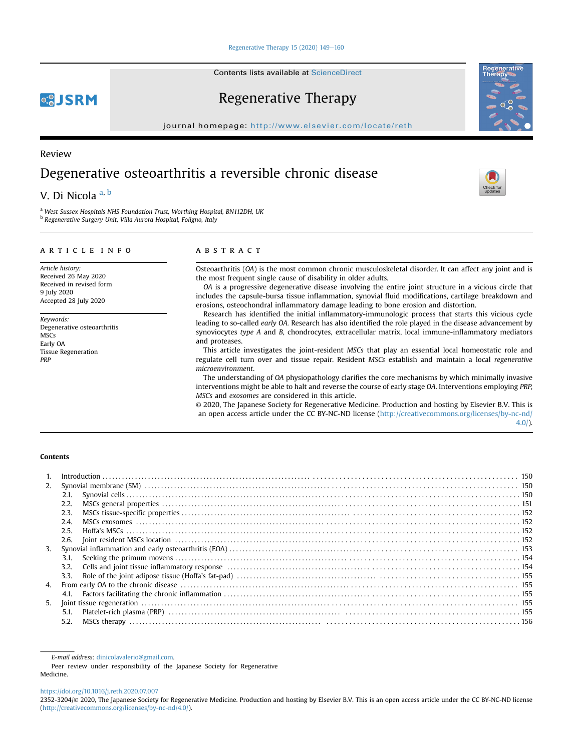#### Regenerative Therapy  $15(2020)$   $149-160$  $149-160$

Contents lists available at ScienceDirect

# Regenerative Therapy

journal homepage: <http://www.elsevier.com/locate/reth>

## Review

**QSJSRM** 

# Degenerative osteoarthritis a reversible chronic disease

## V. Di Nicol[a](#page-0-0)<sup>a, [b](#page-0-1)</sup>

<span id="page-0-1"></span><span id="page-0-0"></span><sup>a</sup> West Sussex Hospitals NHS Foundation Trust, Worthing Hospital, BN112DH, UK <sup>b</sup> Regenerative Surgery Unit, Villa Aurora Hospital, Foligno, Italy

### article info

Article history: Received 26 May 2020 Received in revised form 9 July 2020 Accepted 28 July 2020

Keywords: Degenerative osteoarthritis **MSCs** Early OA Tissue Regeneration PRP

## ABSTRACT

Osteoarthritis (OA) is the most common chronic musculoskeletal disorder. It can affect any joint and is the most frequent single cause of disability in older adults.

OA is a progressive degenerative disease involving the entire joint structure in a vicious circle that includes the capsule-bursa tissue inflammation, synovial fluid modifications, cartilage breakdown and erosions, osteochondral inflammatory damage leading to bone erosion and distortion.

Research has identified the initial inflammatory-immunologic process that starts this vicious cycle leading to so-called early OA. Research has also identified the role played in the disease advancement by synoviocytes type A and B, chondrocytes, extracellular matrix, local immune-inflammatory mediators and proteases.

This article investigates the joint-resident MSCs that play an essential local homeostatic role and regulate cell turn over and tissue repair. Resident MSCs establish and maintain a local regenerative microenvironment.

The understanding of OA physiopathology clarifies the core mechanisms by which minimally invasive interventions might be able to halt and reverse the course of early stage OA. Interventions employing PRP, MSCs and exosomes are considered in this article.

© 2020, The Japanese Society for Regenerative Medicine. Production and hosting by Elsevier B.V. This is an open access article under the CC BY-NC-ND license [\(http://creativecommons.org/licenses/by-nc-nd/](http://creativecommons.org/licenses/by-nc-nd/4.0/) [4.0/](http://creativecommons.org/licenses/by-nc-nd/4.0/)).

#### Contents

| 2.             |      |  |  |  |
|----------------|------|--|--|--|
|                |      |  |  |  |
|                | 2.2. |  |  |  |
|                | 2.3. |  |  |  |
|                | 2.4. |  |  |  |
|                | 2.5. |  |  |  |
|                | 2.6. |  |  |  |
| $\mathbf{3}$   |      |  |  |  |
|                | 3.1. |  |  |  |
|                | 3.2. |  |  |  |
|                | 3.3. |  |  |  |
| 4.             |      |  |  |  |
|                |      |  |  |  |
| 5 <sub>1</sub> |      |  |  |  |
|                | 5.1. |  |  |  |
|                | 5.2. |  |  |  |
|                |      |  |  |  |

Peer review under responsibility of the Japanese Society for Regenerative Medicine.

<https://doi.org/10.1016/j.reth.2020.07.007>







E-mail address: [dinicolavalerio@gmail.com.](mailto:dinicolavalerio@gmail.com)

<sup>2352-3204/</sup>© 2020, The Japanese Society for Regenerative Medicine. Production and hosting by Elsevier B.V. This is an open access article under the CC BY-NC-ND license (<http://creativecommons.org/licenses/by-nc-nd/4.0/>).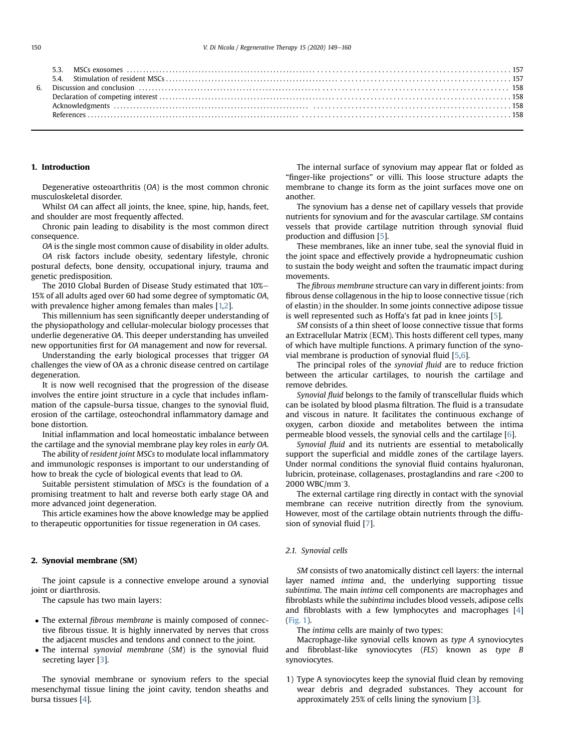#### 1. Introduction

Degenerative osteoarthritis (OA) is the most common chronic musculoskeletal disorder.

Whilst OA can affect all joints, the knee, spine, hip, hands, feet, and shoulder are most frequently affected.

Chronic pain leading to disability is the most common direct consequence.

OA is the single most common cause of disability in older adults.

OA risk factors include obesity, sedentary lifestyle, chronic postural defects, bone density, occupational injury, trauma and genetic predisposition.

The 2010 Global Burden of Disease Study estimated that  $10\%$ -15% of all adults aged over 60 had some degree of symptomatic OA, with prevalence higher among females than males [[1,](#page-9-0)[2](#page-9-1)].

This millennium has seen significantly deeper understanding of the physiopathology and cellular-molecular biology processes that underlie degenerative OA. This deeper understanding has unveiled new opportunities first for OA management and now for reversal.

Understanding the early biological processes that trigger OA challenges the view of OA as a chronic disease centred on cartilage degeneration.

It is now well recognised that the progression of the disease involves the entire joint structure in a cycle that includes inflammation of the capsule-bursa tissue, changes to the synovial fluid, erosion of the cartilage, osteochondral inflammatory damage and bone distortion.

Initial inflammation and local homeostatic imbalance between the cartilage and the synovial membrane play key roles in early OA.

The ability of resident joint MSCs to modulate local inflammatory and immunologic responses is important to our understanding of how to break the cycle of biological events that lead to OA.

Suitable persistent stimulation of MSCs is the foundation of a promising treatment to halt and reverse both early stage OA and more advanced joint degeneration.

This article examines how the above knowledge may be applied to therapeutic opportunities for tissue regeneration in OA cases.

#### 2. Synovial membrane (SM)

The joint capsule is a connective envelope around a synovial joint or diarthrosis.

The capsule has two main layers:

- The external fibrous membrane is mainly composed of connective fibrous tissue. It is highly innervated by nerves that cross the adjacent muscles and tendons and connect to the joint.
- The internal synovial membrane (SM) is the synovial fluid secreting layer [[3](#page-9-2)].

The synovial membrane or synovium refers to the special mesenchymal tissue lining the joint cavity, tendon sheaths and bursa tissues [\[4\]](#page-9-3).

The internal surface of synovium may appear flat or folded as "finger-like projections" or villi. This loose structure adapts the membrane to change its form as the joint surfaces move one on another.

The synovium has a dense net of capillary vessels that provide nutrients for synovium and for the avascular cartilage. SM contains vessels that provide cartilage nutrition through synovial fluid production and diffusion [\[5](#page-9-4)].

These membranes, like an inner tube, seal the synovial fluid in the joint space and effectively provide a hydropneumatic cushion to sustain the body weight and soften the traumatic impact during movements.

The fibrous membrane structure can vary in different joints: from fibrous dense collagenous in the hip to loose connective tissue (rich of elastin) in the shoulder. In some joints connective adipose tissue is well represented such as Hoffa's fat pad in knee joints [\[5](#page-9-4)].

SM consists of a thin sheet of loose connective tissue that forms an Extracellular Matrix (ECM). This hosts different cell types, many of which have multiple functions. A primary function of the synovial membrane is production of synovial fluid [\[5](#page-9-4),[6\]](#page-9-5).

The principal roles of the synovial fluid are to reduce friction between the articular cartilages, to nourish the cartilage and remove debrides.

Synovial fluid belongs to the family of transcellular fluids which can be isolated by blood plasma filtration. The fluid is a transudate and viscous in nature. It facilitates the continuous exchange of oxygen, carbon dioxide and metabolites between the intima permeable blood vessels, the synovial cells and the cartilage [[6\]](#page-9-5).

Synovial fluid and its nutrients are essential to metabolically support the superficial and middle zones of the cartilage layers. Under normal conditions the synovial fluid contains hyaluronan, lubricin, proteinase, collagenases, prostaglandins and rare <200 to 2000 WBC/mm^3.

The external cartilage ring directly in contact with the synovial membrane can receive nutrition directly from the synovium. However, most of the cartilage obtain nutrients through the diffusion of synovial fluid [\[7](#page-9-6)].

#### 2.1. Synovial cells

SM consists of two anatomically distinct cell layers: the internal layer named intima and, the underlying supporting tissue subintima. The main intima cell components are macrophages and fibroblasts while the subintima includes blood vessels, adipose cells and fibroblasts with a few lymphocytes and macrophages [\[4\]](#page-9-3) ([Fig. 1](#page-2-0)).

The intima cells are mainly of two types:

Macrophage-like synovial cells known as type A synoviocytes and fibroblast-like synoviocytes (FLS) known as type B synoviocytes.

1) Type A synoviocytes keep the synovial fluid clean by removing wear debris and degraded substances. They account for approximately 25% of cells lining the synovium [\[3](#page-9-2)].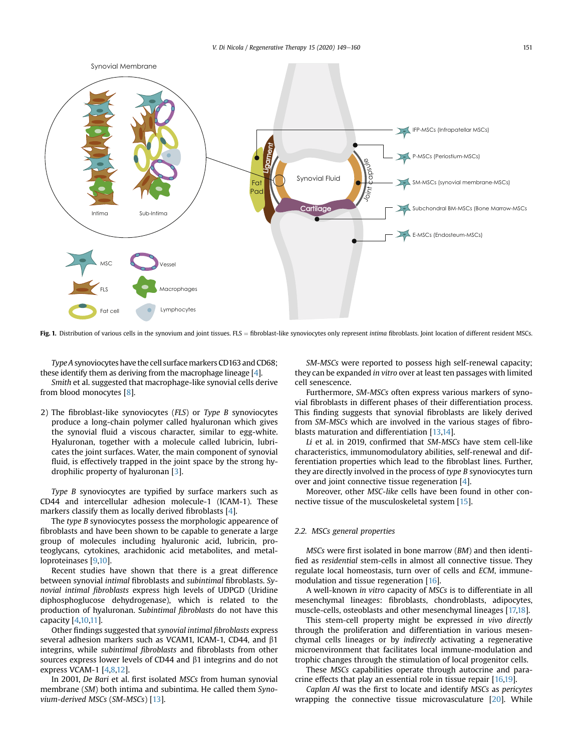<span id="page-2-0"></span>

Fig. 1. Distribution of various cells in the synovium and joint tissues. FLS = fibroblast-like synoviocytes only represent intima fibroblasts. Joint location of different resident MSCs.

Type A synoviocytes have the cell surface markers CD163 and CD68; these identify them as deriving from the macrophage lineage [\[4\]](#page-9-3).

Smith et al. suggested that macrophage-like synovial cells derive from blood monocytes [[8](#page-9-7)].

2) The fibroblast-like synoviocytes (FLS) or Type B synoviocytes produce a long-chain polymer called hyaluronan which gives the synovial fluid a viscous character, similar to egg-white. Hyaluronan, together with a molecule called lubricin, lubricates the joint surfaces. Water, the main component of synovial fluid, is effectively trapped in the joint space by the strong hydrophilic property of hyaluronan [\[3\]](#page-9-2).

Type B synoviocytes are typified by surface markers such as CD44 and intercellular adhesion molecule-1 (ICAM-1). These markers classify them as locally derived fibroblasts [\[4\]](#page-9-3).

The type B synoviocytes possess the morphologic appearence of fibroblasts and have been shown to be capable to generate a large group of molecules including hyaluronic acid, lubricin, proteoglycans, cytokines, arachidonic acid metabolites, and metalloproteinases [\[9,](#page-9-8)[10](#page-9-9)].

Recent studies have shown that there is a great difference between synovial intimal fibroblasts and subintimal fibroblasts. Synovial intimal fibroblasts express high levels of UDPGD (Uridine diphosphoglucose dehydrogenase), which is related to the production of hyaluronan. Subintimal fibroblasts do not have this capacity [[4](#page-9-3)[,10,](#page-9-9)[11\]](#page-9-10).

Other findings suggested that synovial intimal fibroblasts express several adhesion markers such as VCAM1, ICAM-1, CD44, and  $\beta$ 1 integrins, while subintimal fibroblasts and fibroblasts from other sources express lower levels of CD44 and  $\beta$ 1 integrins and do not express VCAM-1 [\[4](#page-9-3)[,8,](#page-9-7)[12](#page-9-11)].

In 2001, De Bari et al. first isolated MSCs from human synovial membrane (SM) both intima and subintima. He called them Synovium-derived MSCs (SM-MSCs) [\[13](#page-9-12)].

SM-MSCs were reported to possess high self-renewal capacity; they can be expanded in vitro over at least ten passages with limited cell senescence.

Furthermore, SM-MSCs often express various markers of synovial fibroblasts in different phases of their differentiation process. This finding suggests that synovial fibroblasts are likely derived from SM-MSCs which are involved in the various stages of fibroblasts maturation and differentiation [[13,](#page-9-12)[14](#page-9-13)].

Li et al. in 2019, confirmed that SM-MSCs have stem cell-like characteristics, immunomodulatory abilities, self-renewal and differentiation properties which lead to the fibroblast lines. Further, they are directly involved in the process of type B synoviocytes turn over and joint connective tissue regeneration [[4](#page-9-3)].

Moreover, other MSC-like cells have been found in other connective tissue of the musculoskeletal system [[15\]](#page-9-14).

## 2.2. MSCs general properties

MSCs were first isolated in bone marrow (BM) and then identified as residential stem-cells in almost all connective tissue. They regulate local homeostasis, turn over of cells and ECM, immunemodulation and tissue regeneration [\[16](#page-9-15)].

A well-known in vitro capacity of MSCs is to differentiate in all mesenchymal lineages: fibroblasts, chondroblasts, adipocytes, muscle-cells, osteoblasts and other mesenchymal lineages [\[17,](#page-9-16)[18](#page-9-17)].

This stem-cell property might be expressed in vivo directly through the proliferation and differentiation in various mesenchymal cells lineages or by indirectly activating a regenerative microenvironment that facilitates local immune-modulation and trophic changes through the stimulation of local progenitor cells.

These MSCs capabilities operate through autocrine and paracrine effects that play an essential role in tissue repair [\[16](#page-9-15)[,19\]](#page-9-18).

Caplan AI was the first to locate and identify MSCs as pericytes wrapping the connective tissue microvasculature [[20](#page-9-19)]. While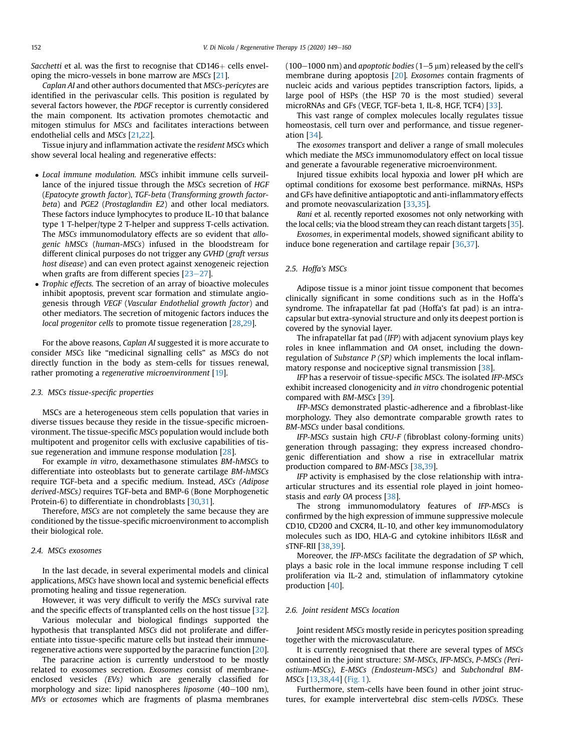Sacchetti et al. was the first to recognise that  $CD146+$  cells enveloping the micro-vessels in bone marrow are MSCs [\[21](#page-9-20)].

Caplan AI and other authors documented that MSCs-pericytes are identified in the perivascular cells. This position is regulated by several factors however, the PDGF receptor is currently considered the main component. Its activation promotes chemotactic and mitogen stimulus for MSCs and facilitates interactions between endothelial cells and MSCs [[21,](#page-9-20)[22](#page-9-21)].

Tissue injury and inflammation activate the resident MSCs which show several local healing and regenerative effects:

- Local immune modulation. MSCs inhibit immune cells surveillance of the injured tissue through the MSCs secretion of HGF (Epatocyte growth factor), TGF-beta (Transforming growth factorbeta) and PGE2 (Prostaglandin E2) and other local mediators. These factors induce lymphocytes to produce IL-10 that balance type 1 T-helper/type 2 T-helper and suppress T-cells activation. The MSCs immunomodulatory effects are so evident that allogenic hMSCs (human-MSCs) infused in the bloodstream for different clinical purposes do not trigger any GVHD (graft versus host disease) and can even protect against xenogeneic rejection when grafts are from different species  $[23-27]$  $[23-27]$  $[23-27]$  $[23-27]$ .
- Trophic effects. The secretion of an array of bioactive molecules inhibit apoptosis, prevent scar formation and stimulate angiogenesis through VEGF (Vascular Endothelial growth factor) and other mediators. The secretion of mitogenic factors induces the local progenitor cells to promote tissue regeneration [\[28,](#page-10-0)[29](#page-10-1)].

For the above reasons, Caplan AI suggested it is more accurate to consider MSCs like "medicinal signalling cells" as MSCs do not directly function in the body as stem-cells for tissues renewal, rather promoting a regenerative microenvironment [[19\]](#page-9-18).

#### 2.3. MSCs tissue-specific properties

MSCs are a heterogeneous stem cells population that varies in diverse tissues because they reside in the tissue-specific microenvironment. The tissue-specific MSCs population would include both multipotent and progenitor cells with exclusive capabilities of tissue regeneration and immune response modulation [\[28\]](#page-10-0).

For example in vitro, dexamethasone stimulates BM-hMSCs to differentiate into osteoblasts but to generate cartilage BM-hMSCs require TGF-beta and a specific medium. Instead, ASCs (Adipose derived-MSCs) requires TGF-beta and BMP-6 (Bone Morphogenetic Protein-6) to differentiate in chondroblasts [[30](#page-10-2)[,31](#page-10-3)].

Therefore, MSCs are not completely the same because they are conditioned by the tissue-specific microenvironment to accomplish their biological role.

#### 2.4. MSCs exosomes

In the last decade, in several experimental models and clinical applications, MSCs have shown local and systemic beneficial effects promoting healing and tissue regeneration.

However, it was very difficult to verify the MSCs survival rate and the specific effects of transplanted cells on the host tissue [[32](#page-10-4)].

Various molecular and biological findings supported the hypothesis that transplanted MSCs did not proliferate and differentiate into tissue-specific mature cells but instead their immuneregenerative actions were supported by the paracrine function [[20](#page-9-19)].

The paracrine action is currently understood to be mostly related to exosomes secretion. Exosomes consist of membraneenclosed vesicles (EVs) which are generally classified for morphology and size: lipid nanospheres liposome  $(40-100 \text{ nm})$ , MVs or ectosomes which are fragments of plasma membranes  $(100-1000 \text{ nm})$  and apoptotic bodies  $(1-5 \text{ nm})$  released by the cell's membrane during apoptosis [[20](#page-9-19)]. Exosomes contain fragments of nucleic acids and various peptides transcription factors, lipids, a large pool of HSPs (the HSP 70 is the most studied) several microRNAs and GFs (VEGF, TGF-beta 1, IL-8, HGF, TCF4) [[33\]](#page-10-5).

This vast range of complex molecules locally regulates tissue homeostasis, cell turn over and performance, and tissue regeneration [[34](#page-10-6)].

The exosomes transport and deliver a range of small molecules which mediate the MSCs immunomodulatory effect on local tissue and generate a favourable regenerative microenvironment.

Injured tissue exhibits local hypoxia and lower pH which are optimal conditions for exosome best performance. miRNAs, HSPs and GFs have definitive antiapoptotic and anti-inflammatory effects and promote neovascularization [\[33,](#page-10-5)[35\]](#page-10-7).

Rani et al. recently reported exosomes not only networking with the local cells; via the blood stream they can reach distant targets [\[35](#page-10-7)].

Exosomes, in experimental models, showed significant ability to induce bone regeneration and cartilage repair [[36](#page-10-8)[,37\]](#page-10-9).

#### 2.5. Hoffa's MSCs

Adipose tissue is a minor joint tissue component that becomes clinically significant in some conditions such as in the Hoffa's syndrome. The infrapatellar fat pad (Hoffa's fat pad) is an intracapsular but extra-synovial structure and only its deepest portion is covered by the synovial layer.

The infrapatellar fat pad (IFP) with adjacent synovium plays key roles in knee inflammation and OA onset, including the downregulation of Substance P (SP) which implements the local inflammatory response and nociceptive signal transmission [\[38\]](#page-10-10).

IFP has a reservoir of tissue-specific MSCs. The isolated IFP-MSCs exhibit increased clonogenicity and in vitro chondrogenic potential compared with BM-MSCs [\[39\]](#page-10-11).

IFP-MSCs demonstrated plastic-adherence and a fibroblast-like morphology. They also demontrate comparable growth rates to BM-MSCs under basal conditions.

IFP-MSCs sustain high CFU-F (fibroblast colony-forming units) generation through passaging; they express increased chondrogenic differentiation and show a rise in extracellular matrix production compared to BM-MSCs [[38](#page-10-10),[39](#page-10-11)].

IFP activity is emphasised by the close relationship with intraarticular structures and its essential role played in joint homeostasis and early OA process [[38](#page-10-10)].

The strong immunomodulatory features of IFP-MSCs is confirmed by the high expression of immune suppressive molecule CD10, CD200 and CXCR4, IL-10, and other key immunomodulatory molecules such as IDO, HLA-G and cytokine inhibitors IL6sR and sTNF-RII [\[38,](#page-10-10)[39\]](#page-10-11).

Moreover, the IFP-MSCs facilitate the degradation of SP which, plays a basic role in the local immune response including T cell proliferation via IL-2 and, stimulation of inflammatory cytokine production [[40](#page-10-12)].

#### 2.6. Joint resident MSCs location

Joint resident MSCs mostly reside in pericytes position spreading together with the microvasculature.

It is currently recognised that there are several types of MSCs contained in the joint structure: SM-MSCs, IFP-MSCs, P-MSCs (Periostium-MSCs), E-MSCs (Endosteum-MSCs) and Subchondral BM-MSCs [[13,](#page-9-12)[38](#page-10-10),[44\]](#page-10-13) [\(Fig. 1\)](#page-2-0).

Furthermore, stem-cells have been found in other joint structures, for example intervertebral disc stem-cells IVDSCs. These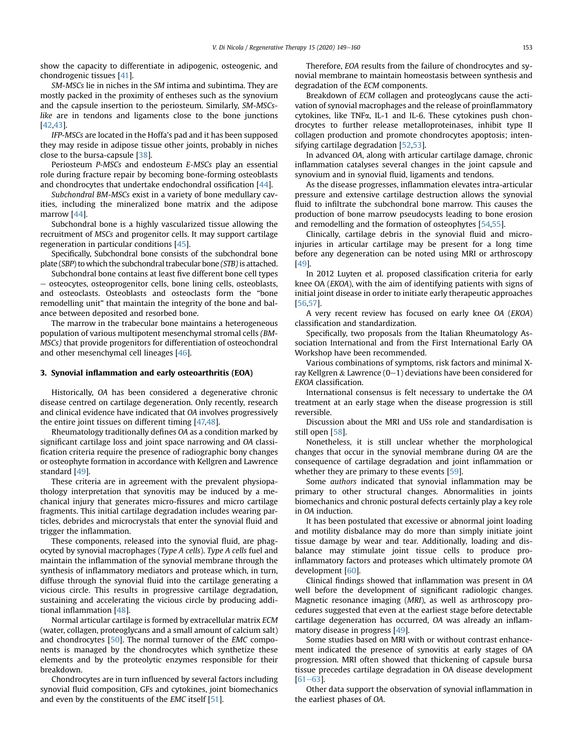show the capacity to differentiate in adipogenic, osteogenic, and chondrogenic tissues [\[41](#page-10-14)].

SM-MSCs lie in niches in the SM intima and subintima. They are mostly packed in the proximity of entheses such as the synovium and the capsule insertion to the periosteum. Similarly, SM-MSCslike are in tendons and ligaments close to the bone junctions [\[42,](#page-10-15)[43](#page-10-16)].

IFP-MSCs are located in the Hoffa's pad and it has been supposed they may reside in adipose tissue other joints, probably in niches close to the bursa-capsule [[38](#page-10-10)].

Periosteum P-MSCs and endosteum E-MSCs play an essential role during fracture repair by becoming bone-forming osteoblasts and chondrocytes that undertake endochondral ossification [[44\]](#page-10-13).

Subchondral BM-MSCs exist in a variety of bone medullary cavities, including the mineralized bone matrix and the adipose marrow [\[44\]](#page-10-13).

Subchondral bone is a highly vascularized tissue allowing the recruitment of MSCs and progenitor cells. It may support cartilage regeneration in particular conditions [\[45\]](#page-10-17).

Specifically, Subchondral bone consists of the subchondral bone plate (SBP) to which the subchondral trabecular bone (STB) is attached.

Subchondral bone contains at least five different bone cell types - osteocytes, osteoprogenitor cells, bone lining cells, osteoblasts, and osteoclasts. Osteoblasts and osteoclasts form the "bone remodelling unit" that maintain the integrity of the bone and balance between deposited and resorbed bone.

The marrow in the trabecular bone maintains a heterogeneous population of various multipotent mesenchymal stromal cells (BM-MSCs) that provide progenitors for differentiation of osteochondral and other mesenchymal cell lineages [\[46\]](#page-10-18).

#### 3. Synovial inflammation and early osteoarthritis (EOA)

Historically, OA has been considered a degenerative chronic disease centred on cartilage degeneration. Only recently, research and clinical evidence have indicated that OA involves progressively the entire joint tissues on different timing [[47,](#page-10-19)[48\]](#page-10-20).

Rheumatology traditionally defines OA as a condition marked by significant cartilage loss and joint space narrowing and OA classification criteria require the presence of radiographic bony changes or osteophyte formation in accordance with Kellgren and Lawrence standard [\[49\]](#page-10-21).

These criteria are in agreement with the prevalent physiopathology interpretation that synovitis may be induced by a mechanical injury that generates micro-fissures and micro cartilage fragments. This initial cartilage degradation includes wearing particles, debrides and microcrystals that enter the synovial fluid and trigger the inflammation.

These components, released into the synovial fluid, are phagocyted by synovial macrophages (Type A cells). Type A cells fuel and maintain the inflammation of the synovial membrane through the synthesis of inflammatory mediators and protease which, in turn, diffuse through the synovial fluid into the cartilage generating a vicious circle. This results in progressive cartilage degradation, sustaining and accelerating the vicious circle by producing additional inflammation [\[48\]](#page-10-20).

Normal articular cartilage is formed by extracellular matrix ECM (water, collagen, proteoglycans and a small amount of calcium salt) and chondrocytes [[50](#page-10-22)]. The normal turnover of the EMC components is managed by the chondrocytes which synthetize these elements and by the proteolytic enzymes responsible for their breakdown.

Chondrocytes are in turn influenced by several factors including synovial fluid composition, GFs and cytokines, joint biomechanics and even by the constituents of the EMC itself [[51\]](#page-10-23).

Therefore, EOA results from the failure of chondrocytes and synovial membrane to maintain homeostasis between synthesis and degradation of the ECM components.

Breakdown of ECM collagen and proteoglycans cause the activation of synovial macrophages and the release of proinflammatory cytokines, like TNFa, IL-1 and IL-6. These cytokines push chondrocytes to further release metalloproteinases, inhibit type II collagen production and promote chondrocytes apoptosis; intensifying cartilage degradation [[52](#page-10-24)[,53\]](#page-10-25).

In advanced OA, along with articular cartilage damage, chronic inflammation catalyses several changes in the joint capsule and synovium and in synovial fluid, ligaments and tendons.

As the disease progresses, inflammation elevates intra-articular pressure and extensive cartilage destruction allows the synovial fluid to infiltrate the subchondral bone marrow. This causes the production of bone marrow pseudocysts leading to bone erosion and remodelling and the formation of osteophytes [\[54,](#page-10-26)[55](#page-10-27)].

Clinically, cartilage debris in the synovial fluid and microinjuries in articular cartilage may be present for a long time before any degeneration can be noted using MRI or arthroscopy [\[49\]](#page-10-21).

In 2012 Luyten et al. proposed classification criteria for early knee OA (EKOA), with the aim of identifying patients with signs of initial joint disease in order to initiate early therapeutic approaches [\[56,](#page-10-28)[57](#page-10-29)].

A very recent review has focused on early knee OA (EKOA) classification and standardization.

Specifically, two proposals from the Italian Rheumatology Association International and from the First International Early OA Workshop have been recommended.

Various combinations of symptoms, risk factors and minimal Xray Kellgren & Lawrence  $(0-1)$  deviations have been considered for EKOA classification.

International consensus is felt necessary to undertake the OA treatment at an early stage when the disease progression is still reversible.

Discussion about the MRI and USs role and standardisation is still open [\[58\]](#page-10-30).

Nonetheless, it is still unclear whether the morphological changes that occur in the synovial membrane during OA are the consequence of cartilage degradation and joint inflammation or whether they are primary to these events [\[59\]](#page-10-31).

Some authors indicated that synovial inflammation may be primary to other structural changes. Abnormalities in joints biomechanics and chronic postural defects certainly play a key role in OA induction.

It has been postulated that excessive or abnormal joint loading and motility disbalance may do more than simply initiate joint tissue damage by wear and tear. Additionally, loading and disbalance may stimulate joint tissue cells to produce proinflammatory factors and proteases which ultimately promote OA development [[60](#page-10-32)].

Clinical findings showed that inflammation was present in OA well before the development of significant radiologic changes. Magnetic resonance imaging (MRI), as well as arthroscopy procedures suggested that even at the earliest stage before detectable cartilage degeneration has occurred, OA was already an inflammatory disease in progress [\[49](#page-10-21)].

Some studies based on MRI with or without contrast enhancement indicated the presence of synovitis at early stages of OA progression. MRI often showed that thickening of capsule bursa tissue precedes cartilage degradation in OA disease development  $[61 - 63]$  $[61 - 63]$  $[61 - 63]$ .

Other data support the observation of synovial inflammation in the earliest phases of OA.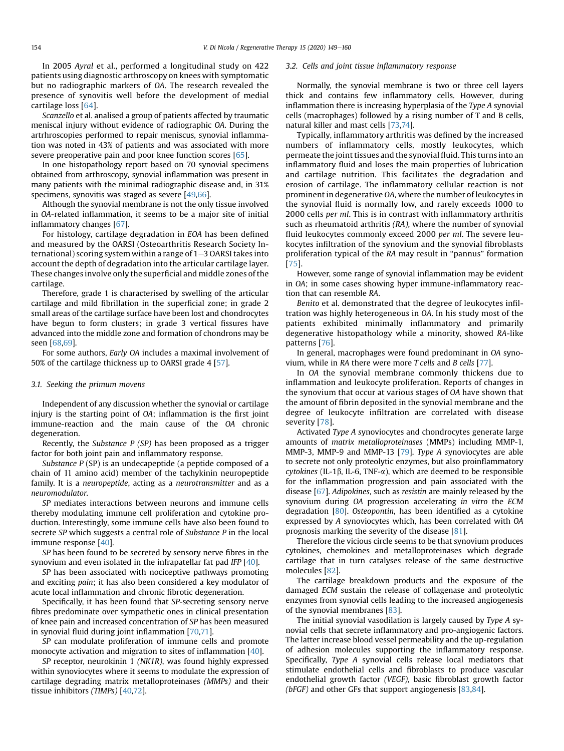In 2005 Ayral et al., performed a longitudinal study on 422 patients using diagnostic arthroscopy on knees with symptomatic but no radiographic markers of OA. The research revealed the presence of synovitis well before the development of medial cartilage loss [[64\]](#page-10-34).

Scanzello et al. analised a group of patients affected by traumatic meniscal injury without evidence of radiographic OA. During the artrhroscopies performed to repair meniscus, synovial inflammation was noted in 43% of patients and was associated with more severe preoperative pain and poor knee function scores [\[65\]](#page-10-35).

In one histopathology report based on 70 synovial specimens obtained from arthroscopy, synovial inflammation was present in many patients with the minimal radiographic disease and, in 31% specimens, synovitis was staged as severe [\[49,](#page-10-21)[66](#page-10-36)].

Although the synovial membrane is not the only tissue involved in OA-related inflammation, it seems to be a major site of initial inflammatory changes [[67\]](#page-10-37).

For histology, cartilage degradation in EOA has been defined and measured by the OARSI (Osteoarthritis Research Society International) scoring system within a range of  $1-3$  OARSI takes into account the depth of degradation into the articular cartilage layer. These changes involve only the superficial and middle zones of the cartilage.

Therefore, grade 1 is characterised by swelling of the articular cartilage and mild fibrillation in the superficial zone; in grade 2 small areas of the cartilage surface have been lost and chondrocytes have begun to form clusters; in grade 3 vertical fissures have advanced into the middle zone and formation of chondrons may be seen [[68](#page-10-38),[69](#page-10-39)].

For some authors, Early OA includes a maximal involvement of 50% of the cartilage thickness up to OARSI grade 4 [[57\]](#page-10-29).

#### 3.1. Seeking the primum movens

Independent of any discussion whether the synovial or cartilage injury is the starting point of OA; inflammation is the first joint immune-reaction and the main cause of the OA chronic degeneration.

Recently, the Substance P (SP) has been proposed as a trigger factor for both joint pain and inflammatory response.

Substance  $P(SP)$  is an undecapeptide (a peptide composed of a chain of 11 amino acid) member of the tachykinin neuropeptide family. It is a neuropeptide, acting as a neurotransmitter and as a neuromodulator.

SP mediates interactions between neurons and immune cells thereby modulating immune cell proliferation and cytokine production. Interestingly, some immune cells have also been found to secrete SP which suggests a central role of Substance P in the local immune response [\[40\]](#page-10-12).

SP has been found to be secreted by sensory nerve fibres in the synovium and even isolated in the infrapatellar fat pad IFP [\[40\]](#page-10-12).

SP has been associated with nociceptive pathways promoting and exciting pain; it has also been considered a key modulator of acute local inflammation and chronic fibrotic degeneration.

Specifically, it has been found that SP-secreting sensory nerve fibres predominate over sympathetic ones in clinical presentation of knee pain and increased concentration of SP has been measured in synovial fluid during joint inflammation [[70,](#page-10-40)[71](#page-10-41)].

SP can modulate proliferation of immune cells and promote monocyte activation and migration to sites of inflammation [\[40\]](#page-10-12).

SP receptor, neurokinin 1 (NK1R), was found highly expressed within synoviocytes where it seems to modulate the expression of cartilage degrading matrix metalloproteinases (MMPs) and their tissue inhibitors (TIMPs) [[40](#page-10-12),[72](#page-10-42)].

#### 3.2. Cells and joint tissue inflammatory response

Normally, the synovial membrane is two or three cell layers thick and contains few inflammatory cells. However, during inflammation there is increasing hyperplasia of the Type A synovial cells (macrophages) followed by a rising number of T and B cells, natural killer and mast cells [[73](#page-10-43)[,74\]](#page-10-44).

Typically, inflammatory arthritis was defined by the increased numbers of inflammatory cells, mostly leukocytes, which permeate the joint tissues and the synovial fluid. This turns into an inflammatory fluid and loses the main properties of lubrication and cartilage nutrition. This facilitates the degradation and erosion of cartilage. The inflammatory cellular reaction is not prominent in degenerative OA, where the number of leukocytes in the synovial fluid is normally low, and rarely exceeds 1000 to 2000 cells per ml. This is in contrast with inflammatory arthritis such as rheumatoid arthritis (RA), where the number of synovial fluid leukocytes commonly exceed 2000 per ml. The severe leukocytes infiltration of the synovium and the synovial fibroblasts proliferation typical of the RA may result in "pannus" formation [[75\]](#page-10-45).

However, some range of synovial inflammation may be evident in OA; in some cases showing hyper immune-inflammatory reaction that can resemble RA.

Benito et al. demonstrated that the degree of leukocytes infiltration was highly heterogeneous in OA. In his study most of the patients exhibited minimally inflammatory and primarily degenerative histopathology while a minority, showed RA-like patterns [[76\]](#page-10-46).

In general, macrophages were found predominant in OA synovium, while in RA there were more T cells and B cells [\[77\]](#page-10-47).

In OA the synovial membrane commonly thickens due to inflammation and leukocyte proliferation. Reports of changes in the synovium that occur at various stages of OA have shown that the amount of fibrin deposited in the synovial membrane and the degree of leukocyte infiltration are correlated with disease severity [[78\]](#page-10-48).

Activated Type A synoviocytes and chondrocytes generate large amounts of matrix metalloproteinases (MMPs) including MMP-1, MMP-3, MMP-9 and MMP-13 [\[79\]](#page-10-49). Type A synoviocytes are able to secrete not only proteolytic enzymes, but also proinflammatory  $cy$ tokines (IL-1 $\beta$ , IL-6, TNF- $\alpha$ ), which are deemed to be responsible for the inflammation progression and pain associated with the disease [\[67\]](#page-10-37). Adipokines, such as resistin are mainly released by the synovium during OA progression accelerating in vitro the ECM degradation [\[80\]](#page-10-50). Osteopontin, has been identified as a cytokine expressed by A synoviocytes which, has been correlated with OA prognosis marking the severity of the disease [[81](#page-10-51)].

Therefore the vicious circle seems to be that synovium produces cytokines, chemokines and metalloproteinases which degrade cartilage that in turn catalyses release of the same destructive molecules [\[82\]](#page-10-52).

The cartilage breakdown products and the exposure of the damaged ECM sustain the release of collagenase and proteolytic enzymes from synovial cells leading to the increased angiogenesis of the synovial membranes [\[83\]](#page-10-53).

The initial synovial vasodilation is largely caused by Type A synovial cells that secrete inflammatory and pro-angiogenic factors. The latter increase blood vessel permeability and the up-regulation of adhesion molecules supporting the inflammatory response. Specifically, Type A synovial cells release local mediators that stimulate endothelial cells and fibroblasts to produce vascular endothelial growth factor (VEGF), basic fibroblast growth factor (bFGF) and other GFs that support angiogenesis  $[83,84]$  $[83,84]$  $[83,84]$ .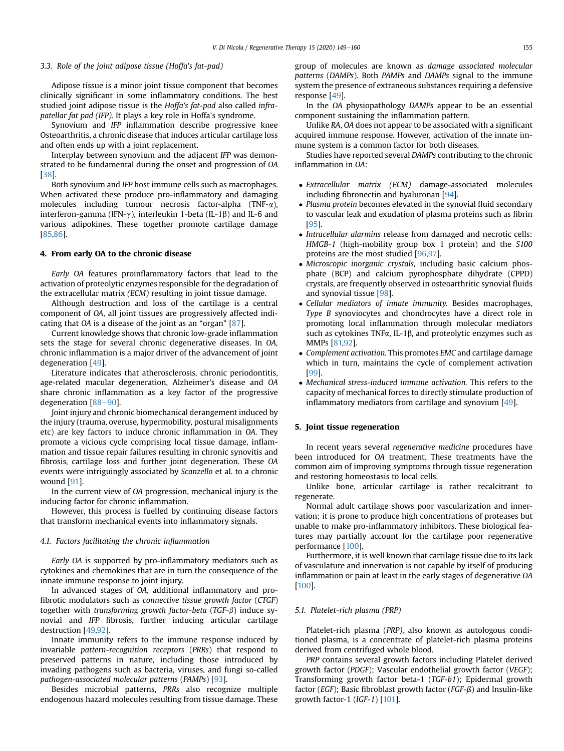## 3.3. Role of the joint adipose tissue (Hoffa's fat-pad)

Adipose tissue is a minor joint tissue component that becomes clinically significant in some inflammatory conditions. The best studied joint adipose tissue is the Hoffa's fat-pad also called infrapatellar fat pad (IFP). It plays a key role in Hoffa's syndrome.

Synovium and IFP inflammation describe progressive knee Osteoarthritis, a chronic disease that induces articular cartilage loss and often ends up with a joint replacement.

Interplay between synovium and the adjacent IFP was demonstrated to be fundamental during the onset and progression of OA [\[38\]](#page-10-10).

Both synovium and IFP host immune cells such as macrophages. When activated these produce pro-inflammatory and damaging molecules including tumour necrosis factor-alpha (TNF- $\alpha$ ), interferon-gamma (IFN- $\gamma$ ), interleukin 1-beta (IL-1 $\beta$ ) and IL-6 and various adipokines. These together promote cartilage damage [\[85,](#page-11-1)[86](#page-11-2)].

#### 4. From early OA to the chronic disease

Early OA features proinflammatory factors that lead to the activation of proteolytic enzymes responsible for the degradation of the extracellular matrix (ECM) resulting in joint tissue damage.

Although destruction and loss of the cartilage is a central component of OA, all joint tissues are progressively affected indicating that OA is a disease of the joint as an "organ" [[87](#page-11-3)].

Current knowledge shows that chronic low-grade inflammation sets the stage for several chronic degenerative diseases. In OA, chronic inflammation is a major driver of the advancement of joint degeneration [[49](#page-10-21)].

Literature indicates that atherosclerosis, chronic periodontitis, age-related macular degeneration, Alzheimer's disease and OA share chronic inflammation as a key factor of the progressive degeneration  $[88-90]$  $[88-90]$  $[88-90]$  $[88-90]$ .

Joint injury and chronic biomechanical derangement induced by the injury (trauma, overuse, hypermobility, postural misalignments etc) are key factors to induce chronic inflammation in OA. They promote a vicious cycle comprising local tissue damage, inflammation and tissue repair failures resulting in chronic synovitis and fibrosis, cartilage loss and further joint degeneration. These OA events were intriguingly associated by Scanzello et al. to a chronic wound [\[91\]](#page-11-5).

In the current view of OA progression, mechanical injury is the inducing factor for chronic inflammation.

However, this process is fuelled by continuing disease factors that transform mechanical events into inflammatory signals.

#### 4.1. Factors facilitating the chronic inflammation

Early OA is supported by pro-inflammatory mediators such as cytokines and chemokines that are in turn the consequence of the innate immune response to joint injury.

In advanced stages of OA, additional inflammatory and profibrotic modulators such as connective tissue growth factor (CTGF) together with transforming growth factor-beta (TGF- $\beta$ ) induce synovial and IFP fibrosis, further inducing articular cartilage destruction [\[49,](#page-10-21)[92](#page-11-6)].

Innate immunity refers to the immune response induced by invariable pattern-recognition receptors (PRRs) that respond to preserved patterns in nature, including those introduced by invading pathogens such as bacteria, viruses, and fungi so-called pathogen-associated molecular patterns (PAMPs) [\[93\]](#page-11-7).

Besides microbial patterns, PRRs also recognize multiple endogenous hazard molecules resulting from tissue damage. These group of molecules are known as damage associated molecular patterns (DAMPs). Both PAMPs and DAMPs signal to the immune system the presence of extraneous substances requiring a defensive response [[49](#page-10-21)].

In the OA physiopathology DAMPs appear to be an essential component sustaining the inflammation pattern.

Unlike RA, OA does not appear to be associated with a significant acquired immune response. However, activation of the innate immune system is a common factor for both diseases.

Studies have reported several DAMPs contributing to the chronic inflammation in OA:

- Extracellular matrix (ECM) damage-associated molecules including fibronectin and hyaluronan [\[94\]](#page-11-8).
- Plasma protein becomes elevated in the synovial fluid secondary to vascular leak and exudation of plasma proteins such as fibrin [\[95\]](#page-11-9).
- Intracellular alarmins release from damaged and necrotic cells: HMGB-1 (high-mobility group box 1 protein) and the S100 proteins are the most studied [[96](#page-11-10)[,97\]](#page-11-11).
- Microscopic inorganic crystals, including basic calcium phosphate (BCP) and calcium pyrophosphate dihydrate (CPPD) crystals, are frequently observed in osteoarthritic synovial fluids and synovial tissue [\[98\]](#page-11-12).
- Cellular mediators of innate immunity. Besides macrophages, Type B synoviocytes and chondrocytes have a direct role in promoting local inflammation through molecular mediators such as cytokines TNF $\alpha$ , IL-1 $\beta$ , and proteolytic enzymes such as MMPs [\[81,](#page-10-51)[92\]](#page-11-6).
- Complement activation. This promotes EMC and cartilage damage which in turn, maintains the cycle of complement activation [\[99\]](#page-11-13).
- Mechanical stress-induced immune activation. This refers to the capacity of mechanical forces to directly stimulate production of inflammatory mediators from cartilage and synovium [[49](#page-10-21)].

#### 5. Joint tissue regeneration

In recent years several regenerative medicine procedures have been introduced for OA treatment. These treatments have the common aim of improving symptoms through tissue regeneration and restoring homeostasis to local cells.

Unlike bone, articular cartilage is rather recalcitrant to regenerate.

Normal adult cartilage shows poor vascularization and innervation; it is prone to produce high concentrations of proteases but unable to make pro-inflammatory inhibitors. These biological features may partially account for the cartilage poor regenerative performance [\[100](#page-11-14)].

Furthermore, it is well known that cartilage tissue due to its lack of vasculature and innervation is not capable by itself of producing inflammation or pain at least in the early stages of degenerative OA [\[100](#page-11-14)].

#### 5.1. Platelet-rich plasma (PRP)

Platelet-rich plasma (PRP), also known as autologous conditioned plasma, is a concentrate of platelet-rich plasma proteins derived from centrifuged whole blood.

PRP contains several growth factors including Platelet derived growth factor (PDGF); Vascular endothelial growth factor (VEGF); Transforming growth factor beta-1 (TGF-b1); Epidermal growth factor (EGF); Basic fibroblast growth factor (FGF-ß) and Insulin-like growth factor-1  $(IGF-1)$  [[101](#page-11-15)].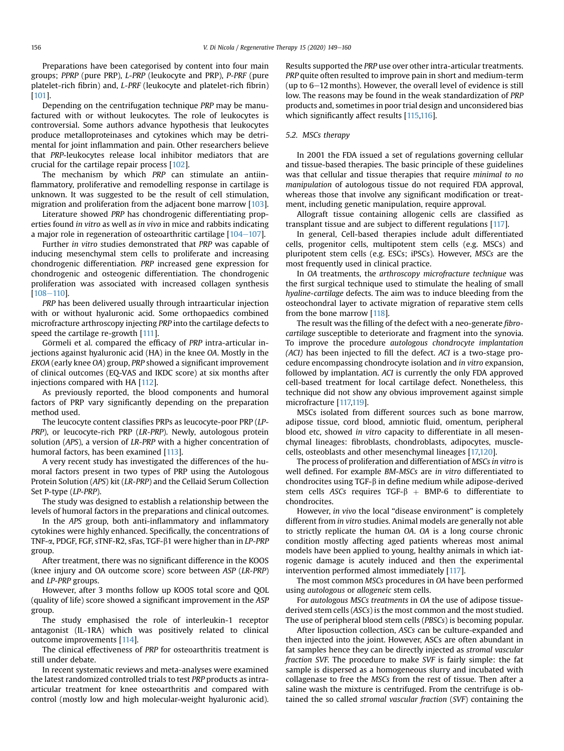Preparations have been categorised by content into four main groups; PPRP (pure PRP), L-PRP (leukocyte and PRP), P-PRF (pure platelet-rich fibrin) and, L-PRF (leukocyte and platelet-rich fibrin) [[101](#page-11-15)].

Depending on the centrifugation technique PRP may be manufactured with or without leukocytes. The role of leukocytes is controversial. Some authors advance hypothesis that leukocytes produce metalloproteinases and cytokines which may be detrimental for joint inflammation and pain. Other researchers believe that PRP-leukocytes release local inhibitor mediators that are crucial for the cartilage repair process [[102\]](#page-11-16).

The mechanism by which PRP can stimulate an antiinflammatory, proliferative and remodelling response in cartilage is unknown. It was suggested to be the result of cell stimulation, migration and proliferation from the adjacent bone marrow [\[103](#page-11-17)].

Literature showed PRP has chondrogenic differentiating properties found in vitro as well as in vivo in mice and rabbits indicating a major role in regeneration of osteoarthritic cartilage  $[104-107]$  $[104-107]$  $[104-107]$  $[104-107]$ .

Further in vitro studies demonstrated that PRP was capable of inducing mesenchymal stem cells to proliferate and increasing chondrogenic differentiation. PRP increased gene expression for chondrogenic and osteogenic differentiation. The chondrogenic proliferation was associated with increased collagen synthesis  $[108 - 110]$  $[108 - 110]$  $[108 - 110]$  $[108 - 110]$  $[108 - 110]$ .

PRP has been delivered usually through intraarticular injection with or without hyaluronic acid. Some orthopaedics combined microfracture arthroscopy injecting PRP into the cartilage defects to speed the cartilage re-growth [[111](#page-11-20)].

Görmeli et al. compared the efficacy of PRP intra-articular injections against hyaluronic acid (HA) in the knee OA. Mostly in the EKOA (early knee OA) group, PRP showed a significant improvement of clinical outcomes (EQ-VAS and IKDC score) at six months after injections compared with HA [\[112](#page-11-21)].

As previously reported, the blood components and humoral factors of PRP vary significantly depending on the preparation method used.

The leucocyte content classifies PRPs as leucocyte-poor PRP (LP-PRP), or leucocyte-rich PRP (LR-PRP). Newly, autologous protein solution (APS), a version of LR-PRP with a higher concentration of humoral factors, has been examined [[113\]](#page-11-22).

A very recent study has investigated the differences of the humoral factors present in two types of PRP using the Autologous Protein Solution (APS) kit (LR-PRP) and the Cellaid Serum Collection Set P-type (LP-PRP).

The study was designed to establish a relationship between the levels of humoral factors in the preparations and clinical outcomes.

In the APS group, both anti-inflammatory and inflammatory cytokines were highly enhanced. Specifically, the concentrations of TNF-a, PDGF, FGF, sTNF-R2, sFas, TGF-b1 were higher than in LP-PRP group.

After treatment, there was no significant difference in the KOOS (knee injury and OA outcome score) score between ASP (LR-PRP) and LP-PRP groups.

However, after 3 months follow up KOOS total score and QOL (quality of life) score showed a significant improvement in the ASP group.

The study emphasised the role of interleukin-1 receptor antagonist (IL-1RA) which was positively related to clinical outcome improvements [[114\]](#page-11-23).

The clinical effectiveness of PRP for osteoarthritis treatment is still under debate.

In recent systematic reviews and meta-analyses were examined the latest randomized controlled trials to test PRP products as intraarticular treatment for knee osteoarthritis and compared with control (mostly low and high molecular-weight hyaluronic acid). Results supported the PRP use over other intra-articular treatments. PRP quite often resulted to improve pain in short and medium-term (up to  $6-12$  months). However, the overall level of evidence is still low. The reasons may be found in the weak standardization of PRP products and, sometimes in poor trial design and unconsidered bias which significantly affect results [[115,](#page-11-24)[116\]](#page-11-25).

#### 5.2. MSCs therapy

In 2001 the FDA issued a set of regulations governing cellular and tissue-based therapies. The basic principle of these guidelines was that cellular and tissue therapies that require minimal to no manipulation of autologous tissue do not required FDA approval, whereas those that involve any significant modification or treatment, including genetic manipulation, require approval.

Allograft tissue containing allogenic cells are classified as transplant tissue and are subject to different regulations [[117](#page-11-26)].

In general, Cell-based therapies include adult differentiated cells, progenitor cells, multipotent stem cells (e.g. MSCs) and pluripotent stem cells (e.g. ESCs; iPSCs). However, MSCs are the most frequently used in clinical practice.

In OA treatments, the arthroscopy microfracture technique was the first surgical technique used to stimulate the healing of small hyaline-cartilage defects. The aim was to induce bleeding from the osteochondral layer to activate migration of reparative stem cells from the bone marrow [\[118\]](#page-11-27).

The result was the filling of the defect with a neo-generate fibrocartilage susceptible to deteriorate and fragment into the synovia. To improve the procedure autologous chondrocyte implantation (ACI) has been injected to fill the defect. ACI is a two-stage procedure encompassing chondrocyte isolation and in vitro expansion, followed by implantation. ACI is currently the only FDA approved cell-based treatment for local cartilage defect. Nonetheless, this technique did not show any obvious improvement against simple microfracture [[117,](#page-11-26)[119\]](#page-11-28).

MSCs isolated from different sources such as bone marrow, adipose tissue, cord blood, amniotic fluid, omentum, peripheral blood etc, showed in vitro capacity to differentiate in all mesenchymal lineages: fibroblasts, chondroblasts, adipocytes, musclecells, osteoblasts and other mesenchymal lineages [\[17,](#page-9-16)[120](#page-11-29)].

The process of proliferation and differentiation of MSCs in vitro is well defined. For example BM-MSCs are in vitro differentiated to chondrocites using TGF- $\beta$  in define medium while adipose-derived stem cells ASCs requires TGF- $\beta$  + BMP-6 to differentiate to chondrocites.

However, in vivo the local "disease environment" is completely different from in vitro studies. Animal models are generally not able to strictly replicate the human OA. OA is a long course chronic condition mostly affecting aged patients whereas most animal models have been applied to young, healthy animals in which iatrogenic damage is acutely induced and then the experimental intervention performed almost immediately [\[117](#page-11-26)].

The most common MSCs procedures in OA have been performed using autologous or allogeneic stem cells.

For autologous MSCs treatments in OA the use of adipose tissuederived stem cells (ASCs) is the most common and the most studied. The use of peripheral blood stem cells (PBSCs) is becoming popular.

After liposuction collection, ASCs can be culture-expanded and then injected into the joint. However, ASCs are often abundant in fat samples hence they can be directly injected as stromal vascular fraction SVF. The procedure to make SVF is fairly simple: the fat sample is dispersed as a homogeneous slurry and incubated with collagenase to free the MSCs from the rest of tissue. Then after a saline wash the mixture is centrifuged. From the centrifuge is obtained the so called stromal vascular fraction (SVF) containing the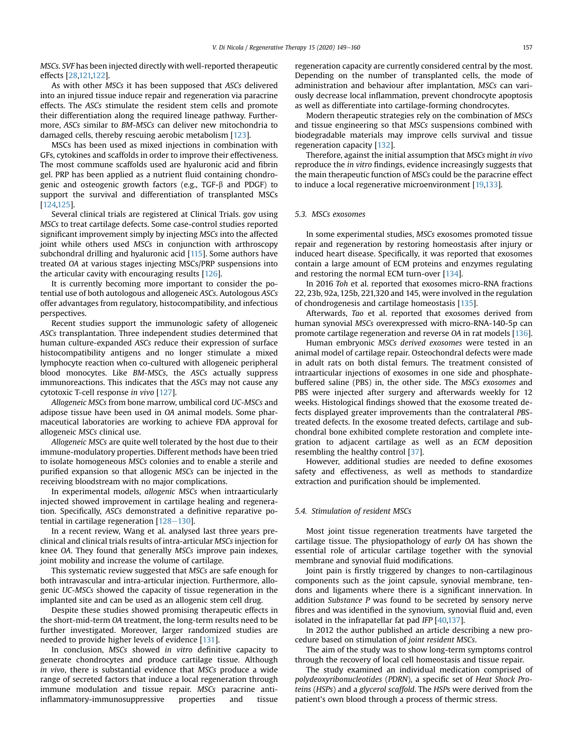MSCs. SVF has been injected directly with well-reported therapeutic effects [\[28,](#page-10-0)[121,](#page-11-30)[122](#page-11-31)].

As with other MSCs it has been supposed that ASCs delivered into an injured tissue induce repair and regeneration via paracrine effects. The ASCs stimulate the resident stem cells and promote their differentiation along the required lineage pathway. Furthermore, ASCs similar to BM-MSCs can deliver new mitochondria to damaged cells, thereby rescuing aerobic metabolism [[123](#page-11-32)].

MSCs has been used as mixed injections in combination with GFs, cytokines and scaffolds in order to improve their effectiveness. The most commune scaffolds used are hyaluronic acid and fibrin gel. PRP has been applied as a nutrient fluid containing chondrogenic and osteogenic growth factors (e.g.,  $TGF-\beta$  and PDGF) to support the survival and differentiation of transplanted MSCs [\[124](#page-11-33)[,125](#page-11-34)].

Several clinical trials are registered at Clinical Trials. gov using MSCs to treat cartilage defects. Some case-control studies reported significant improvement simply by injecting MSCs into the affected joint while others used MSCs in conjunction with arthroscopy subchondral drilling and hyaluronic acid [\[115](#page-11-24)]. Some authors have treated OA at various stages injecting MSCs/PRP suspensions into the articular cavity with encouraging results [\[126\]](#page-11-35).

It is currently becoming more important to consider the potential use of both autologous and allogeneic ASCs. Autologous ASCs offer advantages from regulatory, histocompatibility, and infectious perspectives.

Recent studies support the immunologic safety of allogeneic ASCs transplantation. Three independent studies determined that human culture-expanded ASCs reduce their expression of surface histocompatibility antigens and no longer stimulate a mixed lymphocyte reaction when co-cultured with allogeneic peripheral blood monocytes. Like BM-MSCs, the ASCs actually suppress immunoreactions. This indicates that the ASCs may not cause any cytotoxic T-cell response in vivo [\[127\]](#page-11-36).

Allogeneic MSCs from bone marrow, umbilical cord UC-MSCs and adipose tissue have been used in OA animal models. Some pharmaceutical laboratories are working to achieve FDA approval for allogeneic MSCs clinical use.

Allogeneic MSCs are quite well tolerated by the host due to their immune-modulatory properties. Different methods have been tried to isolate homogeneous MSCs colonies and to enable a sterile and purified expansion so that allogenic MSCs can be injected in the receiving bloodstream with no major complications.

In experimental models, allogenic MSCs when intraarticularly injected showed improvement in cartilage healing and regeneration. Specifically, ASCs demonstrated a definitive reparative potential in cartilage regeneration  $[128-130]$  $[128-130]$  $[128-130]$  $[128-130]$  $[128-130]$ .

In a recent review, Wang et al. analysed last three years preclinical and clinical trials results of intra-articular MSCs injection for knee OA. They found that generally MSCs improve pain indexes, joint mobility and increase the volume of cartilage.

This systematic review suggested that MSCs are safe enough for both intravascular and intra-articular injection. Furthermore, allogenic UC-MSCs showed the capacity of tissue regeneration in the implanted site and can be used as an allogenic stem cell drug.

Despite these studies showed promising therapeutic effects in the short-mid-term OA treatment, the long-term results need to be further investigated. Moreover, larger randomized studies are needed to provide higher levels of evidence [[131](#page-11-38)].

In conclusion, MSCs showed in vitro definitive capacity to generate chondrocytes and produce cartilage tissue. Although in vivo, there is substantial evidence that MSCs produce a wide range of secreted factors that induce a local regeneration through immune modulation and tissue repair. MSCs paracrine antiinflammatory-immunosuppressive properties and tissue regeneration capacity are currently considered central by the most. Depending on the number of transplanted cells, the mode of administration and behaviour after implantation, MSCs can variously decrease local inflammation, prevent chondrocyte apoptosis as well as differentiate into cartilage-forming chondrocytes.

Modern therapeutic strategies rely on the combination of MSCs and tissue engineering so that MSCs suspensions combined with biodegradable materials may improve cells survival and tissue regeneration capacity [[132](#page-11-39)].

Therefore, against the initial assumption that MSCs might in vivo reproduce the in vitro findings, evidence increasingly suggests that the main therapeutic function of MSCs could be the paracrine effect to induce a local regenerative microenvironment [\[19](#page-9-18)[,133](#page-11-40)].

#### 5.3. MSCs exosomes

In some experimental studies, MSCs exosomes promoted tissue repair and regeneration by restoring homeostasis after injury or induced heart disease. Specifically, it was reported that exosomes contain a large amount of ECM proteins and enzymes regulating and restoring the normal ECM turn-over [[134](#page-11-41)].

In 2016 Toh et al. reported that exosomes micro-RNA fractions 22, 23b, 92a, 125b, 221,320 and 145, were involved in the regulation of chondrogenesis and cartilage homeostasis [\[135](#page-11-42)].

Afterwards, Tao et al. reported that exosomes derived from human synovial MSCs overexpressed with micro-RNA-140-5p can promote cartilage regeneration and reverse OA in rat models [\[136\]](#page-11-43).

Human embryonic MSCs derived exosomes were tested in an animal model of cartilage repair. Osteochondral defects were made in adult rats on both distal femurs. The treatment consisted of intraarticular injections of exosomes in one side and phosphatebuffered saline (PBS) in, the other side. The MSCs exosomes and PBS were injected after surgery and afterwards weekly for 12 weeks. Histological findings showed that the exosome treated defects displayed greater improvements than the contralateral PBStreated defects. In the exosome treated defects, cartilage and subchondral bone exhibited complete restoration and complete integration to adjacent cartilage as well as an ECM deposition resembling the healthy control [[37](#page-10-9)].

However, additional studies are needed to define exosomes safety and effectiveness, as well as methods to standardize extraction and purification should be implemented.

#### 5.4. Stimulation of resident MSCs

Most joint tissue regeneration treatments have targeted the cartilage tissue. The physiopathology of early OA has shown the essential role of articular cartilage together with the synovial membrane and synovial fluid modifications.

Joint pain is firstly triggered by changes to non-cartilaginous components such as the joint capsule, synovial membrane, tendons and ligaments where there is a significant innervation. In addition Substance P was found to be secreted by sensory nerve fibres and was identified in the synovium, synovial fluid and, even isolated in the infrapatellar fat pad IFP [\[40,](#page-10-12)[137](#page-11-44)].

In 2012 the author published an article describing a new procedure based on stimulation of joint resident MSCs.

The aim of the study was to show long-term symptoms control through the recovery of local cell homeostasis and tissue repair.

The study examined an individual medication comprised of polydeoxyribonucleotides (PDRN), a specific set of Heat Shock Proteins (HSPs) and a glycerol scaffold. The HSPs were derived from the patient's own blood through a process of thermic stress.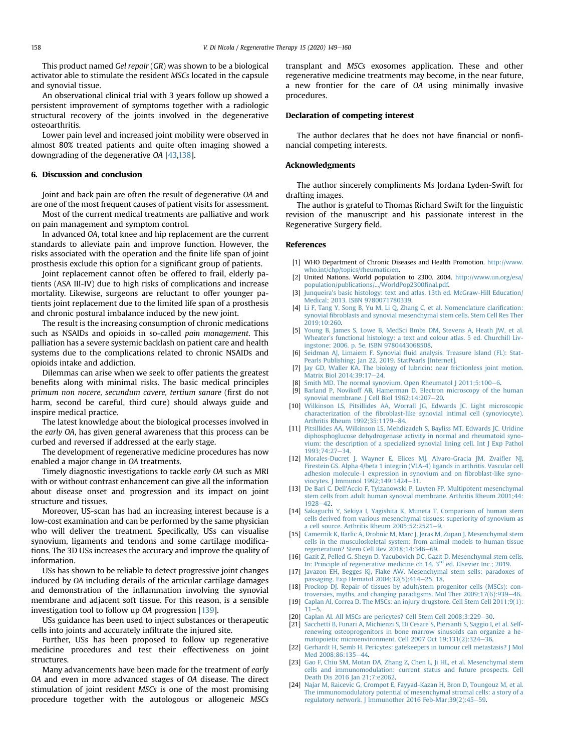This product named Gel repair (GR) was shown to be a biological activator able to stimulate the resident MSCs located in the capsule and synovial tissue.

An observational clinical trial with 3 years follow up showed a persistent improvement of symptoms together with a radiologic structural recovery of the joints involved in the degenerative osteoarthritis.

Lower pain level and increased joint mobility were observed in almost 80% treated patients and quite often imaging showed a downgrading of the degenerative OA [\[43,](#page-10-16)[138\]](#page-11-45).

#### 6. Discussion and conclusion

Joint and back pain are often the result of degenerative OA and are one of the most frequent causes of patient visits for assessment.

Most of the current medical treatments are palliative and work on pain management and symptom control.

In advanced OA, total knee and hip replacement are the current standards to alleviate pain and improve function. However, the risks associated with the operation and the finite life span of joint prosthesis exclude this option for a significant group of patients.

Joint replacement cannot often be offered to frail, elderly patients (ASA III-IV) due to high risks of complications and increase mortality. Likewise, surgeons are reluctant to offer younger patients joint replacement due to the limited life span of a prosthesis and chronic postural imbalance induced by the new joint.

The result is the increasing consumption of chronic medications such as NSAIDs and opioids in so-called pain management. This palliation has a severe systemic backlash on patient care and health systems due to the complications related to chronic NSAIDs and opioids intake and addiction.

Dilemmas can arise when we seek to offer patients the greatest benefits along with minimal risks. The basic medical principles primum non nocere, secundum cavere, tertium sanare (first do not harm, second be careful, third cure) should always guide and inspire medical practice.

The latest knowledge about the biological processes involved in the early OA, has given general awareness that this process can be curbed and reversed if addressed at the early stage.

The development of regenerative medicine procedures has now enabled a major change in OA treatments.

Timely diagnostic investigations to tackle early OA such as MRI with or without contrast enhancement can give all the information about disease onset and progression and its impact on joint structure and tissues.

Moreover, US-scan has had an increasing interest because is a low-cost examination and can be performed by the same physician who will deliver the treatment. Specifically, USs can visualise synovium, ligaments and tendons and some cartilage modifications. The 3D USs increases the accuracy and improve the quality of information.

USs has shown to be reliable to detect progressive joint changes induced by OA including details of the articular cartilage damages and demonstration of the inflammation involving the synovial membrane and adjacent soft tissue. For this reason, is a sensible investigation tool to follow up OA progression [[139](#page-11-46)].

USs guidance has been used to inject substances or therapeutic cells into joints and accurately infiltrate the injured site.

Further, USs has been proposed to follow up regenerative medicine procedures and test their effectiveness on joint structures.

Many advancements have been made for the treatment of early OA and even in more advanced stages of OA disease. The direct stimulation of joint resident MSCs is one of the most promising procedure together with the autologous or allogeneic MSCs transplant and MSCs exosomes application. These and other regenerative medicine treatments may become, in the near future, a new frontier for the care of OA using minimally invasive procedures.

#### Declaration of competing interest

The author declares that he does not have financial or nonfinancial competing interests.

#### Acknowledgments

The author sincerely compliments Ms Jordana Lyden-Swift for drafting images.

The author is grateful to Thomas Richard Swift for the linguistic revision of the manuscript and his passionate interest in the Regenerative Surgery field.

#### References

- <span id="page-9-0"></span>[1] WHO Department of Chronic Diseases and Health Promotion. [http://www.](http://www.who.int/chp/topics/rheumatic/en) [who.int/chp/topics/rheumatic/en](http://www.who.int/chp/topics/rheumatic/en).
- <span id="page-9-1"></span>[2] United Nations. World population to 2300. 2004. [http://www.un.org/esa/](http://www.un.org/esa/population/publications/.../WorldPop2300final.pdf) [population/publications/.../WorldPop2300](http://www.un.org/esa/population/publications/.../WorldPop2300final.pdf)final.pdf.
- <span id="page-9-2"></span>[3] [Junqueira's basic histology: text and atlas. 13th ed. McGraw-Hill Education/](http://refhub.elsevier.com/S2352-3204(20)30065-1/sref3) [Medical; 2013. ISBN 9780071780339](http://refhub.elsevier.com/S2352-3204(20)30065-1/sref3).
- <span id="page-9-3"></span>[4] [Li F, Tang Y, Song B, Yu M, Li Q, Zhang C, et al. Nomenclature clari](http://refhub.elsevier.com/S2352-3204(20)30065-1/sref4)fication: synovial fi[broblasts and synovial mesenchymal stem cells. Stem Cell Res Ther](http://refhub.elsevier.com/S2352-3204(20)30065-1/sref4) [2019;10:260](http://refhub.elsevier.com/S2352-3204(20)30065-1/sref4).
- <span id="page-9-4"></span>[5] [Young B, James S, Lowe B, MedSci Bmbs DM, Stevens A, Heath JW, et al.](http://refhub.elsevier.com/S2352-3204(20)30065-1/sref5) [Wheater's functional histology: a text and colour atlas. 5 ed. Churchill Liv](http://refhub.elsevier.com/S2352-3204(20)30065-1/sref5)[ingstone; 2006. p. 5e. ISBN 9780443068508](http://refhub.elsevier.com/S2352-3204(20)30065-1/sref5).
- <span id="page-9-5"></span>[6] Seidman AJ, Limaiem F. Synovial fl[uid analysis. Treasure Island \(FL\): Stat-](http://refhub.elsevier.com/S2352-3204(20)30065-1/sref6)[Pearls Publishing; Jan 22, 2019. StatPearls \[Internet\].](http://refhub.elsevier.com/S2352-3204(20)30065-1/sref6)
- <span id="page-9-6"></span>[7] [Jay GD, Waller KA. The biology of lubricin: near frictionless joint motion.](http://refhub.elsevier.com/S2352-3204(20)30065-1/sref7) [Matrix Biol 2014;39:17](http://refhub.elsevier.com/S2352-3204(20)30065-1/sref7)-[24](http://refhub.elsevier.com/S2352-3204(20)30065-1/sref7).
- <span id="page-9-7"></span>[8] [Smith MD. The normal synovium. Open Rheumatol J 2011;5:100](http://refhub.elsevier.com/S2352-3204(20)30065-1/sref8)-[6](http://refhub.elsevier.com/S2352-3204(20)30065-1/sref8).
- <span id="page-9-8"></span>[9] [Barland P, Novikoff AB, Hamerman D. Electron microscopy of the human](http://refhub.elsevier.com/S2352-3204(20)30065-1/sref9) synovial membrane. J Cell Biol  $1962; 14:207-20$  $1962; 14:207-20$  $1962; 14:207-20$ .
- <span id="page-9-9"></span>[10] [Wilkinson LS, Pitsillides AA, Worrall JG, Edwards JC. Light microscopic](http://refhub.elsevier.com/S2352-3204(20)30065-1/sref10) characterization of the fi[broblast-like synovial intimal cell \(synoviocyte\).](http://refhub.elsevier.com/S2352-3204(20)30065-1/sref10) [Arthritis Rheum 1992;35:1179](http://refhub.elsevier.com/S2352-3204(20)30065-1/sref10)-[84](http://refhub.elsevier.com/S2352-3204(20)30065-1/sref10).
- <span id="page-9-10"></span>[11] [Pitsillides AA, Wilkinson LS, Mehdizadeh S, Bayliss MT, Edwards JC. Uridine](http://refhub.elsevier.com/S2352-3204(20)30065-1/sref11) [diphosphoglucose dehydrogenase activity in normal and rheumatoid syno](http://refhub.elsevier.com/S2352-3204(20)30065-1/sref11)[vium: the description of a specialized synovial lining cell. Int J Exp Pathol](http://refhub.elsevier.com/S2352-3204(20)30065-1/sref11) [1993;74:27](http://refhub.elsevier.com/S2352-3204(20)30065-1/sref11)-[34](http://refhub.elsevier.com/S2352-3204(20)30065-1/sref11).
- <span id="page-9-11"></span>[12] [Morales-Ducret J, Wayner E, Elices MJ, Alvaro-Gracia JM, Zvai](http://refhub.elsevier.com/S2352-3204(20)30065-1/sref12)fler NJ, [Firestein GS. Alpha 4/beta 1 integrin \(VLA-4\) ligands in arthritis. Vascular cell](http://refhub.elsevier.com/S2352-3204(20)30065-1/sref12) [adhesion molecule-1 expression in synovium and on](http://refhub.elsevier.com/S2352-3204(20)30065-1/sref12) fibroblast-like syno-viocytes. J Immunol 1992:149:1424-[31](http://refhub.elsevier.com/S2352-3204(20)30065-1/sref12).
- <span id="page-9-12"></span>[13] [De Bari C, Dell'Accio F, Tylzanowski P, Luyten FP. Multipotent mesenchymal](http://refhub.elsevier.com/S2352-3204(20)30065-1/sref13) [stem cells from adult human synovial membrane. Arthritis Rheum 2001;44:](http://refhub.elsevier.com/S2352-3204(20)30065-1/sref13) [1928](http://refhub.elsevier.com/S2352-3204(20)30065-1/sref13)-[42](http://refhub.elsevier.com/S2352-3204(20)30065-1/sref13)
- <span id="page-9-13"></span>[14] [Sakaguchi Y, Sekiya I, Yagishita K, Muneta T. Comparison of human stem](http://refhub.elsevier.com/S2352-3204(20)30065-1/sref14) [cells derived from various mesenchymal tissues: superiority of synovium as](http://refhub.elsevier.com/S2352-3204(20)30065-1/sref14) [a cell source. Arthritis Rheum 2005;52:2521](http://refhub.elsevier.com/S2352-3204(20)30065-1/sref14)-[9.](http://refhub.elsevier.com/S2352-3204(20)30065-1/sref14)
- <span id="page-9-14"></span>[15] [Camernik K, Barlic A, Drobnic M, Marc J, Jeras M, Zupan J. Mesenchymal stem](http://refhub.elsevier.com/S2352-3204(20)30065-1/sref15) [cells in the musculoskeletal system: from animal models to human tissue](http://refhub.elsevier.com/S2352-3204(20)30065-1/sref15) [regeneration? Stem Cell Rev 2018;14:346](http://refhub.elsevier.com/S2352-3204(20)30065-1/sref15)–[69.](http://refhub.elsevier.com/S2352-3204(20)30065-1/sref15)
- <span id="page-9-15"></span>[16] [Gazit Z, Pelled G, Sheyn D, Yacubovich DC, Gazit D. Mesenchymal stem cells.](http://refhub.elsevier.com/S2352-3204(20)30065-1/sref16) [In:](http://refhub.elsevier.com/S2352-3204(20)30065-1/sref16) [Principle](http://refhub.elsevier.com/S2352-3204(20)30065-1/sref16) [of](http://refhub.elsevier.com/S2352-3204(20)30065-1/sref16) [regenerative](http://refhub.elsevier.com/S2352-3204(20)30065-1/sref16) [medicine](http://refhub.elsevier.com/S2352-3204(20)30065-1/sref16) [ch](http://refhub.elsevier.com/S2352-3204(20)30065-1/sref16) [14.](http://refhub.elsevier.com/S2352-3204(20)30065-1/sref16) [3](http://refhub.elsevier.com/S2352-3204(20)30065-1/sref16)<sup>rd</sup> [ed. Elsevier Inc.; 2019](http://refhub.elsevier.com/S2352-3204(20)30065-1/sref16).
- <span id="page-9-16"></span>[17] [Javazon EH, Begges Kj, Flake AW. Mesenchymal stem sells: paradoxes of](http://refhub.elsevier.com/S2352-3204(20)30065-1/sref17) [passaging. Exp Hematol 2004;32\(5\):414](http://refhub.elsevier.com/S2352-3204(20)30065-1/sref17)-[25. 18.](http://refhub.elsevier.com/S2352-3204(20)30065-1/sref17)
- <span id="page-9-17"></span>[18] [Prockop DJ. Repair of tissues by adult/stem progenitor cells \(MSCs\): con](http://refhub.elsevier.com/S2352-3204(20)30065-1/sref18)troversies, myths, and changing paradigsms. Mol Ther  $2009;17(6):939-46$ .
- <span id="page-9-18"></span>[19] [Caplan AI, Correa D. The MSCs: an injury drugstore. Cell Stem Cell 2011;9\(1\):](http://refhub.elsevier.com/S2352-3204(20)30065-1/sref19)  $11 - 5.$  $11 - 5.$  $11 - 5.$  $11 - 5.$
- <span id="page-9-19"></span>[20] [Caplan AI. All MSCs are pericytes? Cell Stem Cell 2008;3:229](http://refhub.elsevier.com/S2352-3204(20)30065-1/sref20)-[30](http://refhub.elsevier.com/S2352-3204(20)30065-1/sref20).
- <span id="page-9-20"></span>[21] [Sacchetti B, Funari A, Michienzi S, Di Cesare S, Piersanti S, Saggio I, et al. Self](http://refhub.elsevier.com/S2352-3204(20)30065-1/sref21)[renewing osteoprogenitors in bone marrow sinusoids can organize a he](http://refhub.elsevier.com/S2352-3204(20)30065-1/sref21)[matopoietic microenvironment. Cell 2007 Oct 19;131\(2\):324](http://refhub.elsevier.com/S2352-3204(20)30065-1/sref21)-[36.](http://refhub.elsevier.com/S2352-3204(20)30065-1/sref21)
- <span id="page-9-21"></span>[22] [Gerhardt H, Semb H. Pericytes: gatekeepers in tumour cell metastasis? J Mol](http://refhub.elsevier.com/S2352-3204(20)30065-1/sref22) Med 2008:86:135-[44.](http://refhub.elsevier.com/S2352-3204(20)30065-1/sref22)
- <span id="page-9-22"></span>[23] [Gao F, Chiu SM, Motan DA, Zhang Z, Chen L, Ji HL, et al. Mesenchymal stem](http://refhub.elsevier.com/S2352-3204(20)30065-1/sref23) [cells and immunomodulation: current status and future prospects. Cell](http://refhub.elsevier.com/S2352-3204(20)30065-1/sref23) [Death Dis 2016 Jan 21;7:e2062](http://refhub.elsevier.com/S2352-3204(20)30065-1/sref23).
- [24] [Najar M, Raicevic G, Crompot E, Fayyad-Kazan H, Bron D, Toungouz M, et al.](http://refhub.elsevier.com/S2352-3204(20)30065-1/sref24) [The immunomodulatory potential of mesenchymal stromal cells: a story of a](http://refhub.elsevier.com/S2352-3204(20)30065-1/sref24) [regulatory network. J Immunother 2016 Feb-Mar;39\(2\):45](http://refhub.elsevier.com/S2352-3204(20)30065-1/sref24)-[59](http://refhub.elsevier.com/S2352-3204(20)30065-1/sref24).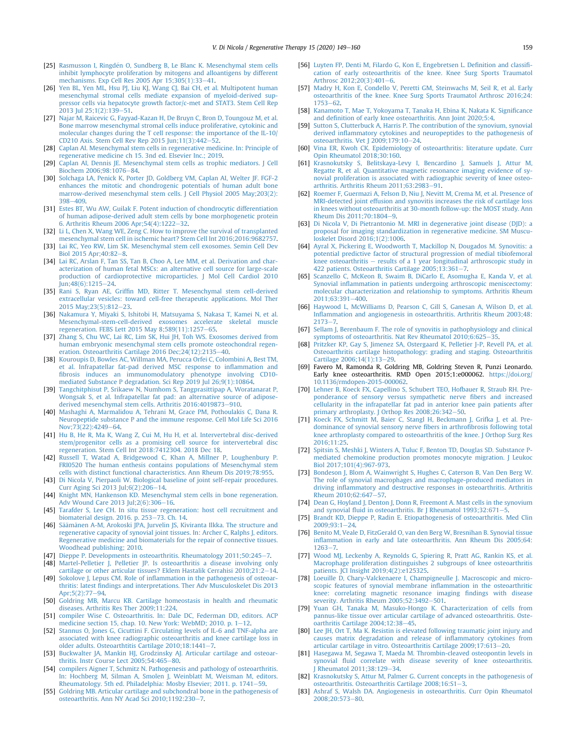- [25] Rasmusson I, Ringdén O, Sundberg B, Le Blanc K. Mesenchymal stem cells [inhibit lymphocyte proliferation by mitogens and alloantigens by different](http://refhub.elsevier.com/S2352-3204(20)30065-1/sref25) mechanisms. Exp Cell Res 2005 Apr  $15;305(1):33-41$  $15;305(1):33-41$ .
- [26] [Yen BL, Yen ML, Hsu PJ, Liu KJ, Wang CJ, Bai CH, et al. Multipotent human](http://refhub.elsevier.com/S2352-3204(20)30065-1/sref26) [mesenchymal stromal cells mediate expansion of myeloid-derived sup](http://refhub.elsevier.com/S2352-3204(20)30065-1/sref26)[pressor cells via hepatocyte growth factor/c-met and STAT3. Stem Cell Rep](http://refhub.elsevier.com/S2352-3204(20)30065-1/sref26)  $2013$  Jul 25:1(2):139-[51](http://refhub.elsevier.com/S2352-3204(20)30065-1/sref26).
- [27] [Najar M, Raicevic G, Fayyad-Kazan H, De Bruyn C, Bron D, Toungouz M, et al.](http://refhub.elsevier.com/S2352-3204(20)30065-1/sref27) [Bone marrow mesenchymal stromal cells induce proliferative, cytokinic and](http://refhub.elsevier.com/S2352-3204(20)30065-1/sref27) [molecular changes during the T cell response: the importance of the IL-10/](http://refhub.elsevier.com/S2352-3204(20)30065-1/sref27) CD210 Axis. Stem Cell Rev Rep 2015 Jun;  $11(3)$ :  $442-52$  $442-52$ .
- <span id="page-10-0"></span>[28] [Caplan AI. Mesenchymal stem cells in regenerative medicine. In: Principle of](http://refhub.elsevier.com/S2352-3204(20)30065-1/sref28) [regenerative medicine ch 15. 3nd ed. Elsevier Inc.; 2019.](http://refhub.elsevier.com/S2352-3204(20)30065-1/sref28)
- <span id="page-10-1"></span>[29] [Caplan AI, Dennis JE. Mesenchymal stem cells as trophic mediators. J Cell](http://refhub.elsevier.com/S2352-3204(20)30065-1/sref29) Biochem 2006:98:1076-[84.](http://refhub.elsevier.com/S2352-3204(20)30065-1/sref29)
- <span id="page-10-2"></span>[30] [Solchaga LA, Penick K, Porter JD, Goldberg VM, Caplan AI, Welter JF. FGF-2](http://refhub.elsevier.com/S2352-3204(20)30065-1/sref30) [enhances the mitotic and chondrogenic potentials of human adult bone](http://refhub.elsevier.com/S2352-3204(20)30065-1/sref30) [marrow-derived mesenchymal stem cells. J Cell Physiol 2005 May;203\(2\):](http://refhub.elsevier.com/S2352-3204(20)30065-1/sref30)  $398 - 409$  $398 - 409$  $398 - 409$
- <span id="page-10-3"></span>[31] [Estes BT, Wu AW, Guilak F. Potent induction of chondrocytic differentiation](http://refhub.elsevier.com/S2352-3204(20)30065-1/sref31) [of human adipose-derived adult stem cells by bone morphogenetic protein](http://refhub.elsevier.com/S2352-3204(20)30065-1/sref31) [6. Arthritis Rheum 2006 Apr;54\(4\):1222](http://refhub.elsevier.com/S2352-3204(20)30065-1/sref31)-[32](http://refhub.elsevier.com/S2352-3204(20)30065-1/sref31).
- <span id="page-10-4"></span>[32] [Li L, Chen X, Wang WE, Zeng C. How to improve the survival of transplanted](http://refhub.elsevier.com/S2352-3204(20)30065-1/sref32) [mesenchymal stem cell in ischemic heart? Stem Cell Int 2016;2016:9682757](http://refhub.elsevier.com/S2352-3204(20)30065-1/sref32).
- <span id="page-10-5"></span>[33] [Lai RC, Yeo RW, Lim SK. Mesenchymal stem cell exosomes. Semin Cell Dev](http://refhub.elsevier.com/S2352-3204(20)30065-1/sref33)  $\text{Rin}$  2015 Apr: $40.82 - 8$ .
- <span id="page-10-6"></span>[34] [Lai RC, Arslan F, Tan SS, Tan B, Choo A, Lee MM, et al. Derivation and char](http://refhub.elsevier.com/S2352-3204(20)30065-1/sref34)[acterization of human fetal MSCs: an alternative cell source for large-scale](http://refhub.elsevier.com/S2352-3204(20)30065-1/sref34) [production of cardioprotective microparticles. J Mol Cell Cardiol 2010](http://refhub.elsevier.com/S2352-3204(20)30065-1/sref34)  $Iun:48(6):1215-24.$  $Iun:48(6):1215-24.$
- <span id="page-10-7"></span>[35] Rani S, Ryan AE, Griffi[n MD, Ritter T. Mesenchymal stem cell-derived](http://refhub.elsevier.com/S2352-3204(20)30065-1/sref35) [extracellular vesicles: toward cell-free therapeutic applications. Mol Ther](http://refhub.elsevier.com/S2352-3204(20)30065-1/sref35) 2015 May; 23(5): 812-[23.](http://refhub.elsevier.com/S2352-3204(20)30065-1/sref35)
- <span id="page-10-8"></span>[36] [Nakamura Y, Miyaki S, Ishitobi H, Matsuyama S, Nakasa T, Kamei N, et al.](http://refhub.elsevier.com/S2352-3204(20)30065-1/sref36) [Mesenchymal-stem-cell-derived exosomes accelerate skeletal muscle](http://refhub.elsevier.com/S2352-3204(20)30065-1/sref36) [regeneration. FEBS Lett 2015 May 8;589\(11\):1257](http://refhub.elsevier.com/S2352-3204(20)30065-1/sref36)-[65.](http://refhub.elsevier.com/S2352-3204(20)30065-1/sref36)
- <span id="page-10-9"></span>[37] [Zhang S, Chu WC, Lai RC, Lim SK, Hui JH, Toh WS. Exosomes derived from](http://refhub.elsevier.com/S2352-3204(20)30065-1/sref37) [human embryonic mesenchymal stem cells promote osteochondral regen-](http://refhub.elsevier.com/S2352-3204(20)30065-1/sref37)eration. Osteoarthritis Cartilage 2016 Dec; 24(12): 2135-[40](http://refhub.elsevier.com/S2352-3204(20)30065-1/sref37).
- <span id="page-10-10"></span>[38] [Kouroupis D, Bowles AC, Willman MA, Perucca Orfei C, Colombini A, Best TM,](http://refhub.elsevier.com/S2352-3204(20)30065-1/sref38) [et al. Infrapatellar fat-pad derived MSC response to in](http://refhub.elsevier.com/S2352-3204(20)30065-1/sref38)flammation and fi[brosis induces an immunomodulatory phenotype involving CD10](http://refhub.elsevier.com/S2352-3204(20)30065-1/sref38) [mediated Substance P degradation. Sci Rep 2019 Jul 26;9\(1\):10864](http://refhub.elsevier.com/S2352-3204(20)30065-1/sref38).
- <span id="page-10-11"></span>[39] [Tangchitphisut P, Srikaew N, Numhom S, Tangprasittipap A, Woratanarat P,](http://refhub.elsevier.com/S2352-3204(20)30065-1/sref39) [Wongsak S, et al. Infrapatellar fat pad: an alternative source of adipose](http://refhub.elsevier.com/S2352-3204(20)30065-1/sref39)[derived mesenchymal stem cells. Arthritis 2016:4019873](http://refhub.elsevier.com/S2352-3204(20)30065-1/sref39)-[910.](http://refhub.elsevier.com/S2352-3204(20)30065-1/sref39)
- <span id="page-10-12"></span>[40] [Mashaghi A, Marmalidou A, Tehrani M, Grace PM, Pothoulakis C, Dana R.](http://refhub.elsevier.com/S2352-3204(20)30065-1/sref40) [Neuropeptide substance P and the immune response. Cell Mol Life Sci 2016](http://refhub.elsevier.com/S2352-3204(20)30065-1/sref40) [Nov;73\(22\):4249](http://refhub.elsevier.com/S2352-3204(20)30065-1/sref40)-[64.](http://refhub.elsevier.com/S2352-3204(20)30065-1/sref40)
- <span id="page-10-14"></span>[41] [Hu B, He R, Ma K, Wang Z, Cui M, Hu H, et al. Intervertebral disc-derived](http://refhub.elsevier.com/S2352-3204(20)30065-1/sref41) [stem/progenitor cells as a promising cell source for intervertebral disc](http://refhub.elsevier.com/S2352-3204(20)30065-1/sref41) [regeneration. Stem Cell Int 2018:7412304. 2018 Dec 18.](http://refhub.elsevier.com/S2352-3204(20)30065-1/sref41)
- <span id="page-10-15"></span>[42] [Russell T, Watad A, Bridgewood C, Khan A, Millner P, Loughenbury P.](http://refhub.elsevier.com/S2352-3204(20)30065-1/sref42) [FRI0520 The human enthesis contains populations of Mesenchymal stem](http://refhub.elsevier.com/S2352-3204(20)30065-1/sref42) [cells with distinct functional characteristics. Ann Rheum Dis 2019;78:955.](http://refhub.elsevier.com/S2352-3204(20)30065-1/sref42)
- <span id="page-10-16"></span>[43] [Di Nicola V, Pierpaoli W. Biological baseline of joint self-repair procedures.](http://refhub.elsevier.com/S2352-3204(20)30065-1/sref43) Curr Aging Sci 2013 Jul; 6(2): 206-[14](http://refhub.elsevier.com/S2352-3204(20)30065-1/sref43).
- <span id="page-10-13"></span>[44] [Knight MN, Hankenson KD. Mesenchymal stem cells in bone regeneration.](http://refhub.elsevier.com/S2352-3204(20)30065-1/sref44) Adv Wound Care 2013 Jul; 2(6): 306-[16](http://refhub.elsevier.com/S2352-3204(20)30065-1/sref44).
- <span id="page-10-17"></span>[45] [Tarafder S, Lee CH. In situ tissue regeneration: host cell recruitment and](http://refhub.elsevier.com/S2352-3204(20)30065-1/sref45) [biomaterial design. 2016. p. 253](http://refhub.elsevier.com/S2352-3204(20)30065-1/sref45)-[73. Ch. 14](http://refhub.elsevier.com/S2352-3204(20)30065-1/sref45).
- <span id="page-10-18"></span>[46] Sää[m](http://refhub.elsevier.com/S2352-3204(20)30065-1/sref46)änen A-M, Arokoski JPA, Jurvelin JS, Kiviranta Ilkka. The structure and [regenerative capacity of synovial joint tissues. In: Archer C, Ralphs J, editors.](http://refhub.elsevier.com/S2352-3204(20)30065-1/sref46) [Regenerative medicine and biomaterials for the repair of connective tissues.](http://refhub.elsevier.com/S2352-3204(20)30065-1/sref46) [Woodhead publishing; 2010](http://refhub.elsevier.com/S2352-3204(20)30065-1/sref46).
- <span id="page-10-19"></span>[47] [Dieppe P. Developments in osteoarthritis. Rheumatology 2011;50:245](http://refhub.elsevier.com/S2352-3204(20)30065-1/sref47)-[7](http://refhub.elsevier.com/S2352-3204(20)30065-1/sref47).
- <span id="page-10-20"></span>[48] [Martel-Pelletier J, Pelletier JP. Is osteoarthritis a disease involving only](http://refhub.elsevier.com/S2352-3204(20)30065-1/sref48) [cartilage or other articular tissues? Eklem Hastalik Cerrahisi 2010;21:2](http://refhub.elsevier.com/S2352-3204(20)30065-1/sref48)-[14](http://refhub.elsevier.com/S2352-3204(20)30065-1/sref48).
- <span id="page-10-21"></span>[49] Sokolove J, Lepus CM. Role of infl[ammation in the pathogenesis of osteoar](http://refhub.elsevier.com/S2352-3204(20)30065-1/sref49)thritis: latest fi[ndings and interpretations. Ther Adv Musculoskelet Dis 2013](http://refhub.elsevier.com/S2352-3204(20)30065-1/sref49) [Apr;5\(2\):77](http://refhub.elsevier.com/S2352-3204(20)30065-1/sref49)-[94](http://refhub.elsevier.com/S2352-3204(20)30065-1/sref49).
- <span id="page-10-22"></span>[50] [Goldring MB, Marcu KB. Cartilage homeostasis in health and rheumatic](http://refhub.elsevier.com/S2352-3204(20)30065-1/sref50) [diseases. Arthritis Res Ther 2009;11:224.](http://refhub.elsevier.com/S2352-3204(20)30065-1/sref50)
- <span id="page-10-23"></span>[51] [compiler Wise C. Osteoarthritis. In: Dale DC, Federman DD, editors. ACP](http://refhub.elsevier.com/S2352-3204(20)30065-1/sref51) medicine section 15, chap. 10. New York: WebMD; 2010. p.  $1-12$  $1-12$ .
- <span id="page-10-24"></span>[52] [Stannus O, Jones G, Cicuttini F. Circulating levels of IL-6 and TNF-alpha are](http://refhub.elsevier.com/S2352-3204(20)30065-1/sref52) [associated with knee radiographic osteoarthritis and knee cartilage loss in](http://refhub.elsevier.com/S2352-3204(20)30065-1/sref52) [older adults. Osteoarthtitis Cartilage 2010;18:1441](http://refhub.elsevier.com/S2352-3204(20)30065-1/sref52)-[7](http://refhub.elsevier.com/S2352-3204(20)30065-1/sref52).
- <span id="page-10-25"></span>[53] [Buckwalter JA, Mankin HJ, Grodzinsky AJ. Articular cartilage and osteoar](http://refhub.elsevier.com/S2352-3204(20)30065-1/sref53)[thritis. Instr Course Lect 2005;54:465](http://refhub.elsevier.com/S2352-3204(20)30065-1/sref53)-[80](http://refhub.elsevier.com/S2352-3204(20)30065-1/sref53).
- <span id="page-10-26"></span>[54] [compilers Aigner T, Schmitz N. Pathogenesis and pathology of osteoarthritis.](http://refhub.elsevier.com/S2352-3204(20)30065-1/sref54) [In: Hochberg M, Silman A, Smolen J, Weinblatt M, Weisman M, editors.](http://refhub.elsevier.com/S2352-3204(20)30065-1/sref54) [Rheumatology. 5th ed. Philadelphia: Mosby Elsevier; 2011. p. 1741](http://refhub.elsevier.com/S2352-3204(20)30065-1/sref54)-[59](http://refhub.elsevier.com/S2352-3204(20)30065-1/sref54).
- <span id="page-10-27"></span>[55] [Goldring MB. Articular cartilage and subchondral bone in the pathogenesis of](http://refhub.elsevier.com/S2352-3204(20)30065-1/sref55) [osteoarthritis. Ann NY Acad Sci 2010;1192:230](http://refhub.elsevier.com/S2352-3204(20)30065-1/sref55)-[7](http://refhub.elsevier.com/S2352-3204(20)30065-1/sref55).
- <span id="page-10-28"></span>[56] [Luyten FP, Denti M, Filardo G, Kon E, Engebretsen L. De](http://refhub.elsevier.com/S2352-3204(20)30065-1/sref56)finition and classifi[cation of early osteoarthritis of the knee. Knee Surg Sports Traumatol](http://refhub.elsevier.com/S2352-3204(20)30065-1/sref56) Arthrosc  $2012;20(3):401-6$ .
- <span id="page-10-29"></span>[57] [Madry H, Kon E, Condello V, Peretti GM, Steinwachs M, Seil R, et al. Early](http://refhub.elsevier.com/S2352-3204(20)30065-1/sref57) [osteoarthritis of the knee. Knee Surg Sports Traumatol Arthrosc 2016;24:](http://refhub.elsevier.com/S2352-3204(20)30065-1/sref57)  $1753 - 62$  $1753 - 62$  $1753 - 62$
- <span id="page-10-30"></span>[58] [Kanamoto T, Mae T, Yokoyama T, Tanaka H, Ebina K, Nakata K. Signi](http://refhub.elsevier.com/S2352-3204(20)30065-1/sref58)ficance and defi[nition of early knee osteoarthritis. Ann Joint 2020;5:4](http://refhub.elsevier.com/S2352-3204(20)30065-1/sref58).
- <span id="page-10-31"></span>[59] [Sutton S, Clutterbuck A, Harris P. The contribution of the synovium, synovial](http://refhub.elsevier.com/S2352-3204(20)30065-1/sref59) derived infl[ammatory cytokines and neuropeptides to the pathogenesis of](http://refhub.elsevier.com/S2352-3204(20)30065-1/sref59) osteoarthritis. Vet I 2009:179:10-[24.](http://refhub.elsevier.com/S2352-3204(20)30065-1/sref59)
- <span id="page-10-32"></span>[60] [Vina ER, Kwoh CK. Epidemiology of osteoarthritis: literature update. Curr](http://refhub.elsevier.com/S2352-3204(20)30065-1/sref60) [Opin Rheumatol 2018;30:160](http://refhub.elsevier.com/S2352-3204(20)30065-1/sref60).
- <span id="page-10-33"></span>[61] [Krasnokutsky S, Belitskaya-Levy I, Bencardino J, Samuels J, Attur M,](http://refhub.elsevier.com/S2352-3204(20)30065-1/sref61) [Regatte R, et al. Quantitative magnetic resonance imaging evidence of sy](http://refhub.elsevier.com/S2352-3204(20)30065-1/sref61)[novial proliferation is associated with radiographic severity of knee osteo](http://refhub.elsevier.com/S2352-3204(20)30065-1/sref61)arthritis. Arthritis Rheum  $2011:63:2983-91$ .
- [62] [Roemer F, Guermazi A, Felson D, Niu J, Nevitt M, Crema M, et al. Presence of](http://refhub.elsevier.com/S2352-3204(20)30065-1/sref62) [MRI-detected joint effusion and synovitis increases the risk of cartilage loss](http://refhub.elsevier.com/S2352-3204(20)30065-1/sref62) [in knees without osteoarthritis at 30-month follow-up: the MOST study. Ann](http://refhub.elsevier.com/S2352-3204(20)30065-1/sref62)  $R$ heum Dis 2011:70:1804-[9](http://refhub.elsevier.com/S2352-3204(20)30065-1/sref62).
- [63] [Di Nicola V, Di Pietrantonio M. MRI in degenerative joint disease \(DJD\): a](http://refhub.elsevier.com/S2352-3204(20)30065-1/sref63) [proposal for imaging standardization in regenerative medicine. SM Muscu](http://refhub.elsevier.com/S2352-3204(20)30065-1/sref63)[loskelet Disord 2016;1\(2\):1006](http://refhub.elsevier.com/S2352-3204(20)30065-1/sref63).
- <span id="page-10-34"></span>[64] [Ayral X, Pickering E, Woodworth T, Mackillop N, Dougados M. Synovitis: a](http://refhub.elsevier.com/S2352-3204(20)30065-1/sref64) [potential predictive factor of structural progression of medial tibiofemoral](http://refhub.elsevier.com/S2352-3204(20)30065-1/sref64) [knee osteoarthritis](http://refhub.elsevier.com/S2352-3204(20)30065-1/sref64)  $-$  [results of a 1 year longitudinal arthroscopic study in](http://refhub.elsevier.com/S2352-3204(20)30065-1/sref64) 422 patients. Osteoarthritis Cartilage  $2005:13:361-7$  $2005:13:361-7$ .
- <span id="page-10-35"></span>[65] [Scanzello C, McKeon B, Swaim B, DiCarlo E, Asomugha E, Kanda V, et al.](http://refhub.elsevier.com/S2352-3204(20)30065-1/sref65) Synovial infl[ammation in patients undergoing arthroscopic meniscectomy:](http://refhub.elsevier.com/S2352-3204(20)30065-1/sref65) [molecular characterization and relationship to symptoms. Arthritis Rheum](http://refhub.elsevier.com/S2352-3204(20)30065-1/sref65)  $2011:63:391 - 400$  $2011:63:391 - 400$
- <span id="page-10-36"></span>[66] [Haywood L, McWilliams D, Pearson C, Gill S, Ganesan A, Wilson D, et al.](http://refhub.elsevier.com/S2352-3204(20)30065-1/sref66) Infl[ammation and angiogenesis in osteoarthritis. Arthritis Rheum 2003;48:](http://refhub.elsevier.com/S2352-3204(20)30065-1/sref66)  $2173 - 7$  $2173 - 7$  $2173 - 7$
- <span id="page-10-37"></span>[67] [Sellam J, Berenbaum F. The role of synovitis in pathophysiology and clinical](http://refhub.elsevier.com/S2352-3204(20)30065-1/sref67) [symptoms of osteoarthritis. Nat Rev Rheumatol 2010;6:625](http://refhub.elsevier.com/S2352-3204(20)30065-1/sref67)-[35](http://refhub.elsevier.com/S2352-3204(20)30065-1/sref67).
- <span id="page-10-38"></span>[68] [Pritzker KP, Gay S, Jimenez SA, Ostergaard K, Pelletier J-P, Revell PA, et al.](http://refhub.elsevier.com/S2352-3204(20)30065-1/sref68) [Osteoarthritis cartilage histopathology: grading and staging. Osteoarthritis](http://refhub.elsevier.com/S2352-3204(20)30065-1/sref68) [Cartilage 2006;14\(1\):13](http://refhub.elsevier.com/S2352-3204(20)30065-1/sref68)-[29](http://refhub.elsevier.com/S2352-3204(20)30065-1/sref68).
- <span id="page-10-39"></span>[69] Favero M, Ramonda R, Goldring MB, Goldring Steven R, Punzi Leonardo. Early knee osteoarthritis. RMD Open 2015;1:e000062. [https://doi.org/](https://doi.org/10.1136/rmdopen-2015-000062) [10.1136/rmdopen-2015-000062](https://doi.org/10.1136/rmdopen-2015-000062).
- <span id="page-10-40"></span>[70] [Lehner B, Koeck FX, Capellino S, Schubert TEO, Hofbauer R, Straub RH. Pre](http://refhub.elsevier.com/S2352-3204(20)30065-1/sref70)[ponderance of sensory versus sympathetic nerve](http://refhub.elsevier.com/S2352-3204(20)30065-1/sref70) fibers and increased [cellularity in the infrapatellar fat pad in anterior knee pain patients after](http://refhub.elsevier.com/S2352-3204(20)30065-1/sref70) [primary arthroplasty. J Orthop Res 2008;26:342](http://refhub.elsevier.com/S2352-3204(20)30065-1/sref70)-[50](http://refhub.elsevier.com/S2352-3204(20)30065-1/sref70).
- <span id="page-10-41"></span>[71] [Koeck FX, Schmitt M, Baier C, Stangl H, Beckmann J, Grifka J, et al. Pre](http://refhub.elsevier.com/S2352-3204(20)30065-1/sref71)[dominance of synovial sensory nerve](http://refhub.elsevier.com/S2352-3204(20)30065-1/sref71) fibers in arthrofibrosis following total [knee arthroplasty compared to osteoarthritis of the knee. J Orthop Surg Res](http://refhub.elsevier.com/S2352-3204(20)30065-1/sref71) [2016;11:25](http://refhub.elsevier.com/S2352-3204(20)30065-1/sref71).
- <span id="page-10-42"></span>[72] [Spitsin S, Meshki J, Winters A, Tuluc F, Benton TD, Douglas SD. Substance P](http://refhub.elsevier.com/S2352-3204(20)30065-1/sref72)[mediated chemokine production promotes monocyte migration. J Leukoc](http://refhub.elsevier.com/S2352-3204(20)30065-1/sref72) [Biol 2017;101\(4\):967-973](http://refhub.elsevier.com/S2352-3204(20)30065-1/sref72).
- <span id="page-10-43"></span>[73] [Bondeson J, Blom A, Wainwright S, Hughes C, Caterson B, Van Den Berg W.](http://refhub.elsevier.com/S2352-3204(20)30065-1/sref73) [The role of synovial macrophages and macrophage-produced mediators in](http://refhub.elsevier.com/S2352-3204(20)30065-1/sref73) driving infl[ammatory and destructive responses in osteoarthritis. Arthritis](http://refhub.elsevier.com/S2352-3204(20)30065-1/sref73) Rheum  $2010:62:647-57$  $2010:62:647-57$ .
- <span id="page-10-44"></span>[74] Dean G, Hoyland J, Denton J, Donn R, Freemont A, Mast cells in the synovium and synovial fl[uid in osteoarthritis. Br J Rheumatol 1993;32:671](http://refhub.elsevier.com/S2352-3204(20)30065-1/sref74)-[5](http://refhub.elsevier.com/S2352-3204(20)30065-1/sref74)
- <span id="page-10-45"></span>[75] [Brandt KD, Dieppe P, Radin E. Etiopathogenesis of osteoarthritis. Med Clin](http://refhub.elsevier.com/S2352-3204(20)30065-1/sref75) 2009:93:1-[24](http://refhub.elsevier.com/S2352-3204(20)30065-1/sref75).
- <span id="page-10-46"></span>[76] [Benito M, Veale D, FitzGerald O, van den Berg W, Bresnihan B. Synovial tissue](http://refhub.elsevier.com/S2352-3204(20)30065-1/sref76) infl[ammation in early and late osteoarthritis. Ann Rheum Dis 2005;64:](http://refhub.elsevier.com/S2352-3204(20)30065-1/sref76)  $1263 - 7.$  $1263 - 7.$  $1263 - 7.$  $1263 - 7.$
- <span id="page-10-47"></span>[77] [Wood MJ, Leckenby A, Reynolds G, Spiering R, Pratt AG, Rankin KS, et al.](http://refhub.elsevier.com/S2352-3204(20)30065-1/sref77) [Macrophage proliferation distinguishes 2 subgroups of knee osteoarthritis](http://refhub.elsevier.com/S2352-3204(20)30065-1/sref77) [patients. JCI Insight 2019;4\(2\):e125325](http://refhub.elsevier.com/S2352-3204(20)30065-1/sref77).
- <span id="page-10-48"></span>[78] [Loeuille D, Chary-Valckenaere I, Champigneulle J. Macroscopic and micro](http://refhub.elsevier.com/S2352-3204(20)30065-1/sref78)[scopic features of synovial membrane in](http://refhub.elsevier.com/S2352-3204(20)30065-1/sref78)flammation in the osteoarthritic [knee: correlating magnetic resonance imaging](http://refhub.elsevier.com/S2352-3204(20)30065-1/sref78) findings with disease severity. Arthritis Rheum  $2005;52:3492-501$  $2005;52:3492-501$ .
- <span id="page-10-49"></span>[79] [Yuan GH, Tanaka M, Masuko-Hongo K. Characterization of cells from](http://refhub.elsevier.com/S2352-3204(20)30065-1/sref79) [pannus-like tissue over articular cartilage of advanced osteoarthritis. Oste](http://refhub.elsevier.com/S2352-3204(20)30065-1/sref79)[oarthritis Cartilage 2004;12:38](http://refhub.elsevier.com/S2352-3204(20)30065-1/sref79)-[45](http://refhub.elsevier.com/S2352-3204(20)30065-1/sref79).
- <span id="page-10-50"></span>[80] [Lee JH, Ort T, Ma K. Resistin is elevated following traumatic joint injury and](http://refhub.elsevier.com/S2352-3204(20)30065-1/sref80) [causes matrix degradation and release of in](http://refhub.elsevier.com/S2352-3204(20)30065-1/sref80)flammatory cytokines from [articular cartilage in vitro. Osteoarthritis Cartilage 2009;17:613](http://refhub.elsevier.com/S2352-3204(20)30065-1/sref80)-[20](http://refhub.elsevier.com/S2352-3204(20)30065-1/sref80).
- <span id="page-10-51"></span>[81] [Hasegawa M, Segawa T, Maeda M. Thrombin-cleaved osteopontin levels in](http://refhub.elsevier.com/S2352-3204(20)30065-1/sref81) synovial fl[uid correlate with disease severity of knee osteoarthritis.](http://refhub.elsevier.com/S2352-3204(20)30065-1/sref81) [J Rheumatol 2011;38:129](http://refhub.elsevier.com/S2352-3204(20)30065-1/sref81)-[34](http://refhub.elsevier.com/S2352-3204(20)30065-1/sref81).
- <span id="page-10-52"></span>[82] [Krasnokutsky S, Attur M, Palmer G. Current concepts in the pathogenesis of](http://refhub.elsevier.com/S2352-3204(20)30065-1/sref82) osteoarthritis. Osteoarthritis Cartilage  $2008;16:51-3$ .
- <span id="page-10-53"></span>[83] [Ashraf S, Walsh DA. Angiogenesis in osteoarthritis. Curr Opin Rheumatol](http://refhub.elsevier.com/S2352-3204(20)30065-1/sref83) [2008;20:573](http://refhub.elsevier.com/S2352-3204(20)30065-1/sref83)-[80.](http://refhub.elsevier.com/S2352-3204(20)30065-1/sref83)